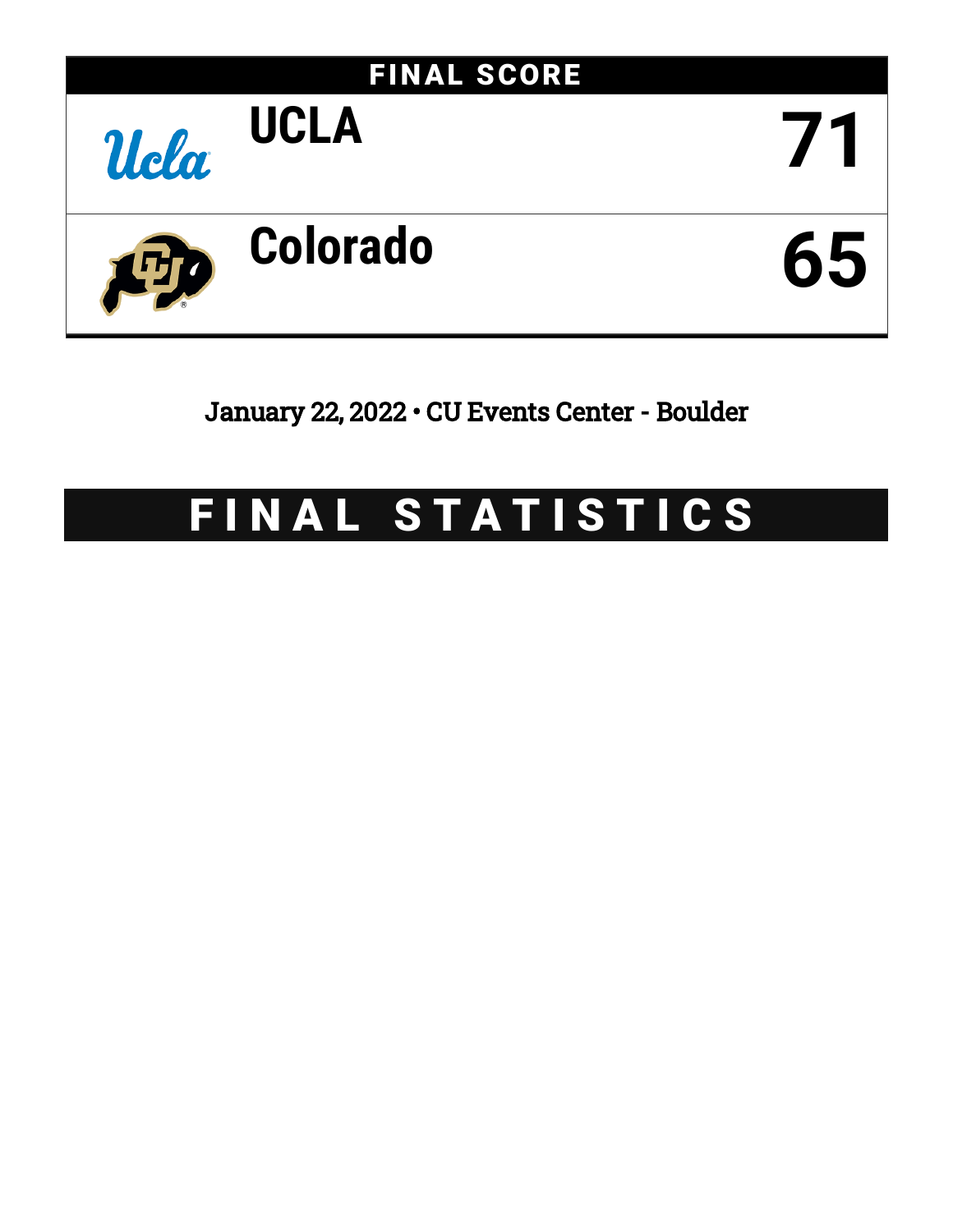

January 22, 2022 • CU Events Center - Boulder

# FINAL STATISTICS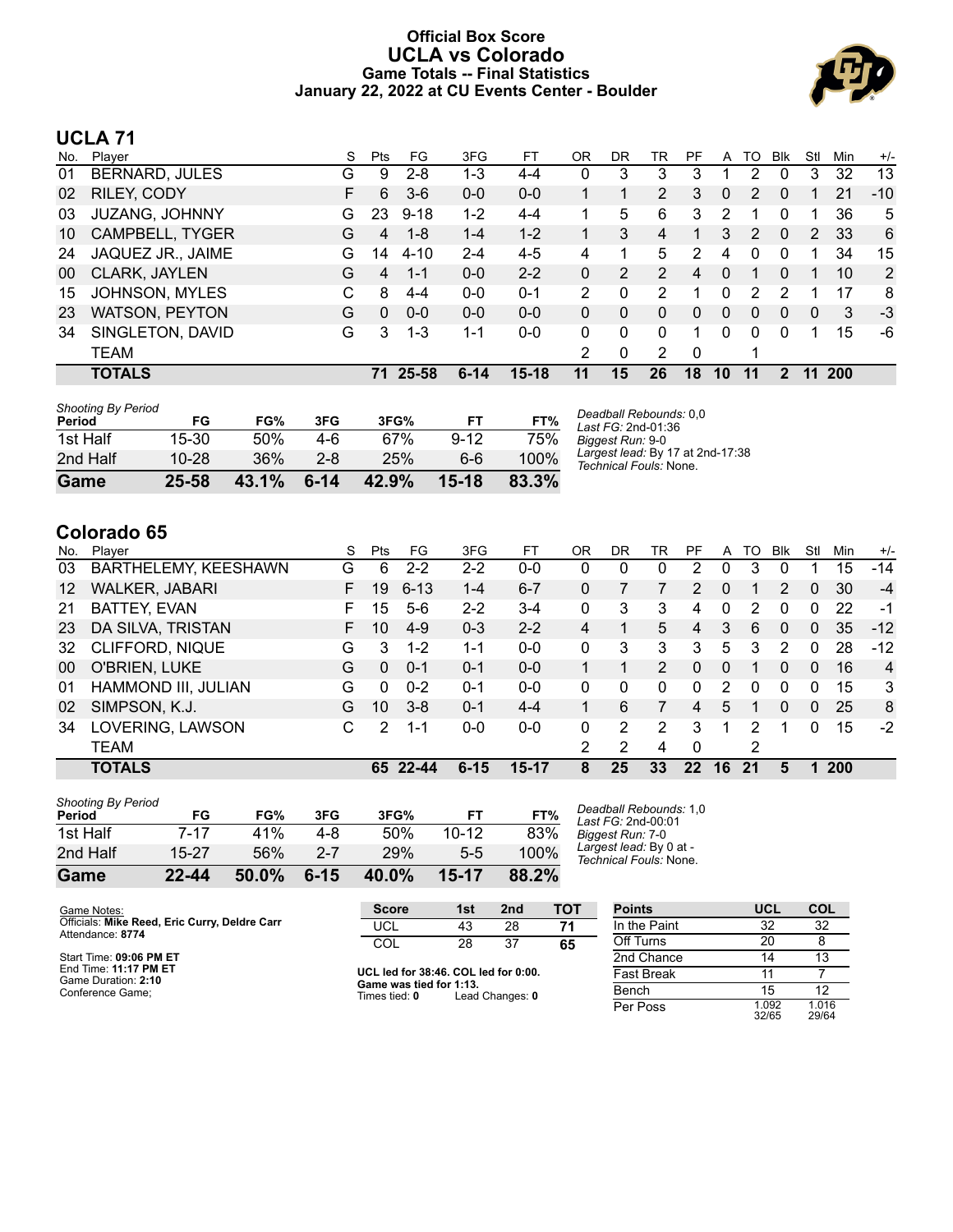### **Official Box Score UCLA vs Colorado Game Totals -- Final Statistics January 22, 2022 at CU Events Center - Boulder**



# **UCLA 71**

| No. | Player                | S | <b>Pts</b> | FG       | 3FG      | FT        | 0R            | DR | TR             | PF             | A              | TO       | <b>BIK</b>   | Stl           | Min        | $+/-$ |
|-----|-----------------------|---|------------|----------|----------|-----------|---------------|----|----------------|----------------|----------------|----------|--------------|---------------|------------|-------|
| 01  | <b>BERNARD, JULES</b> | G | 9          | $2 - 8$  | 1-3      | 4-4       | 0             | 3  | 3              | 3              |                | 2        | 0            | 3             | 32         | 13    |
| 02  | RILEY, CODY           | F | 6          | $3-6$    | $0 - 0$  | $0 - 0$   |               |    | $\overline{2}$ | 3              | $\overline{0}$ | 2        | 0            |               | 21         | $-10$ |
| 03  | JUZANG, JOHNNY        | G | 23         | $9 - 18$ | $1 - 2$  | $4 - 4$   |               | 5  | 6              | 3              | 2              |          | 0            |               | 36         | 5     |
| 10  | CAMPBELL, TYGER       | G | 4          | $1 - 8$  | $1 - 4$  | $1 - 2$   |               | 3  | 4              | 1              | 3              | 2        | $\mathbf{0}$ | $\mathcal{P}$ | 33         | 6     |
| 24  | JAQUEZ JR., JAIME     | G | 14         | $4 - 10$ | $2 - 4$  | $4 - 5$   | 4             | 1  | 5              | 2              | 4              | 0        | 0            |               | 34         | 15    |
| 00  | CLARK, JAYLEN         | G | 4          | $1 - 1$  | $0 - 0$  | $2 - 2$   | 0             | 2  | $\overline{2}$ | 4              | $\Omega$       |          | $\Omega$     |               | 10         | 2     |
| 15  | <b>JOHNSON, MYLES</b> | С | 8          | 4-4      | $0 - 0$  | $0 - 1$   | $\mathcal{P}$ | 0  | 2              |                | 0              | 2        |              |               | 17         | 8     |
| 23  | <b>WATSON, PEYTON</b> | G | $\Omega$   | $0 - 0$  | $0 - 0$  | $0 - 0$   | 0             | 0  | 0              | $\overline{0}$ | 0              | 0        | 0            | 0             | 3          | $-3$  |
| 34  | SINGLETON, DAVID      | G | 3          | $1 - 3$  | 1-1      | $0 - 0$   | 0             | 0  | 0              |                | 0              | $\Omega$ | $\Omega$     |               | 15         | -6    |
|     | TEAM                  |   |            |          |          |           | 2             | 0  | 2              | $\Omega$       |                | 1        |              |               |            |       |
|     | <b>TOTALS</b>         |   | 71         | 25-58    | $6 - 14$ | $15 - 18$ | 11            | 15 | 26             | 18             | 10             | 11       | 2            | 11            | <b>200</b> |       |

| Game                                | $25 - 58$ | 43.1% | $6 - 14$ | 42.9% | $15 - 18$ | 83.3% |   |
|-------------------------------------|-----------|-------|----------|-------|-----------|-------|---|
| 2nd Half                            | $10 - 28$ | 36%   | $2 - 8$  | 25%   | 6-6       | 100%  |   |
| 1st Half                            | 15-30     | 50%   | 4-6      | 67%   | $9 - 12$  | 75%   | F |
| <b>Shooting By Period</b><br>Period | FG        | FG%   | 3FG      | 3FG%  | FT        | FT%   |   |

*Deadball Rebounds:* 0,0 *Last FG:* 2nd-01:36 *Biggest Run:* 9-0 *Largest lead:* By 17 at 2nd-17:38 *Technical Fouls:* None.

# **Colorado 65**

| No. | Plaver               | S  | Pts      | FG.      | 3FG      | FТ        | ΟR | DR | TR       | PF             | A  | TO | Blk            | Stl      | Min        | $+/-$ |
|-----|----------------------|----|----------|----------|----------|-----------|----|----|----------|----------------|----|----|----------------|----------|------------|-------|
| 03  | BARTHELEMY, KEESHAWN | G  | 6        | $2 - 2$  | $2 - 2$  | $0 - 0$   | 0  | 0  | $\Omega$ | 2              | 0  | 3  | 0              |          | 15         | $-14$ |
| 12  | WALKER, JABARI       | F. | 19       | $6 - 13$ | 1-4      | $6 - 7$   | 0  |    |          | 2              | 0  |    | $\mathcal{P}$  | 0        | 30         | $-4$  |
| 21  | BATTEY, EVAN         | F. | 15       | $5-6$    | $2 - 2$  | $3 - 4$   | 0  | 3  | 3        | 4              | 0  | 2  | 0              | 0        | 22         | -1    |
| 23  | DA SILVA, TRISTAN    | F. | 10       | $4 - 9$  | $0 - 3$  | $2 - 2$   | 4  |    | 5.       | 4              | 3  | 6  | $\Omega$       | 0        | 35         | $-12$ |
| 32  | CLIFFORD, NIQUE      | G  | 3        | $1 - 2$  | $1 - 1$  | $0 - 0$   | 0  | 3  | 3        | 3              | 5  | 3  | 2              | 0        | 28         | $-12$ |
| 00  | O'BRIEN, LUKE        | G  | 0        | $0 - 1$  | $0 - 1$  | $0 - 0$   |    |    | 2        | $\Omega$       | 0  |    | 0              | 0        | 16         | 4     |
| 01  | HAMMOND III, JULIAN  | G  | $\Omega$ | $0 - 2$  | $0 - 1$  | $0 - 0$   | 0  | 0  | 0        | 0              | 2  | 0  | 0              | 0        | 15         | 3     |
| 02  | SIMPSON, K.J.        | G  | 10       | $3 - 8$  | $0 - 1$  | $4 - 4$   |    | 6  |          | $\overline{4}$ | 5  |    | $\overline{0}$ | $\Omega$ | 25         | 8     |
| 34  | LOVERING, LAWSON     | C  | 2        | 1-1      | $0 - 0$  | $0 - 0$   | 0  | 2  | 2        | 3              | 1  | 2  |                | 0        | 15         | $-2$  |
|     | <b>TEAM</b>          |    |          |          |          |           | 2  | 2  | 4        | 0              |    | 2  |                |          |            |       |
|     | <b>TOTALS</b>        |    |          | 65 22-44 | $6 - 15$ | $15 - 17$ | 8  | 25 | 33       | 22             | 16 | 21 | 5              |          | <b>200</b> |       |

| Game                                | 22-44 | 50.0% | $6 - 15$ | 40.0% | 15-17     | 88.2% |   |
|-------------------------------------|-------|-------|----------|-------|-----------|-------|---|
| 2nd Half                            | 15-27 | 56%   | $2 - 7$  | 29%   | $5-5$     | 100%  |   |
| 1st Half                            | 7-17  | 41%   | 4-8      | 50%   | $10 - 12$ | 83%   | F |
| <b>Shooting By Period</b><br>Period | FG    | FG%   | 3FG      | 3FG%  | FT        | FT%   |   |

*Deadball Rebounds:* 1,0 *Last FG:* 2nd-00:01 *Biggest Run:* 7-0 *Largest lead:* By 0 at - *Technical Fouls:* None.

| Game Notes:                                                       | <b>Score</b>                             | 1st | 2nd             | тот               | <b>Points</b> | <b>UCL</b>     | COL            |
|-------------------------------------------------------------------|------------------------------------------|-----|-----------------|-------------------|---------------|----------------|----------------|
| Officials: Mike Reed, Eric Curry, Deldre Carr<br>Attendance: 8774 | UCL                                      | 43  | 28              |                   | In the Paint  | 32             | 32             |
|                                                                   | COL                                      | 28  | 37              | 65                | Off Turns     | 20             |                |
| Start Time: 09:06 PM ET                                           |                                          |     |                 |                   | 2nd Chance    |                | 13             |
| End Time: 11:17 PM ET<br>Game Duration: 2:10                      | UCL led for 38:46. COL led for 0:00.     |     |                 | <b>Fast Break</b> |               |                |                |
| Conference Game:                                                  | Game was tied for 1:13.<br>Times tied: 0 |     | Lead Changes: 0 |                   | Bench         | 15             | 12             |
|                                                                   |                                          |     |                 |                   | Per Poss      | 1.092<br>32/65 | 1.016<br>29/64 |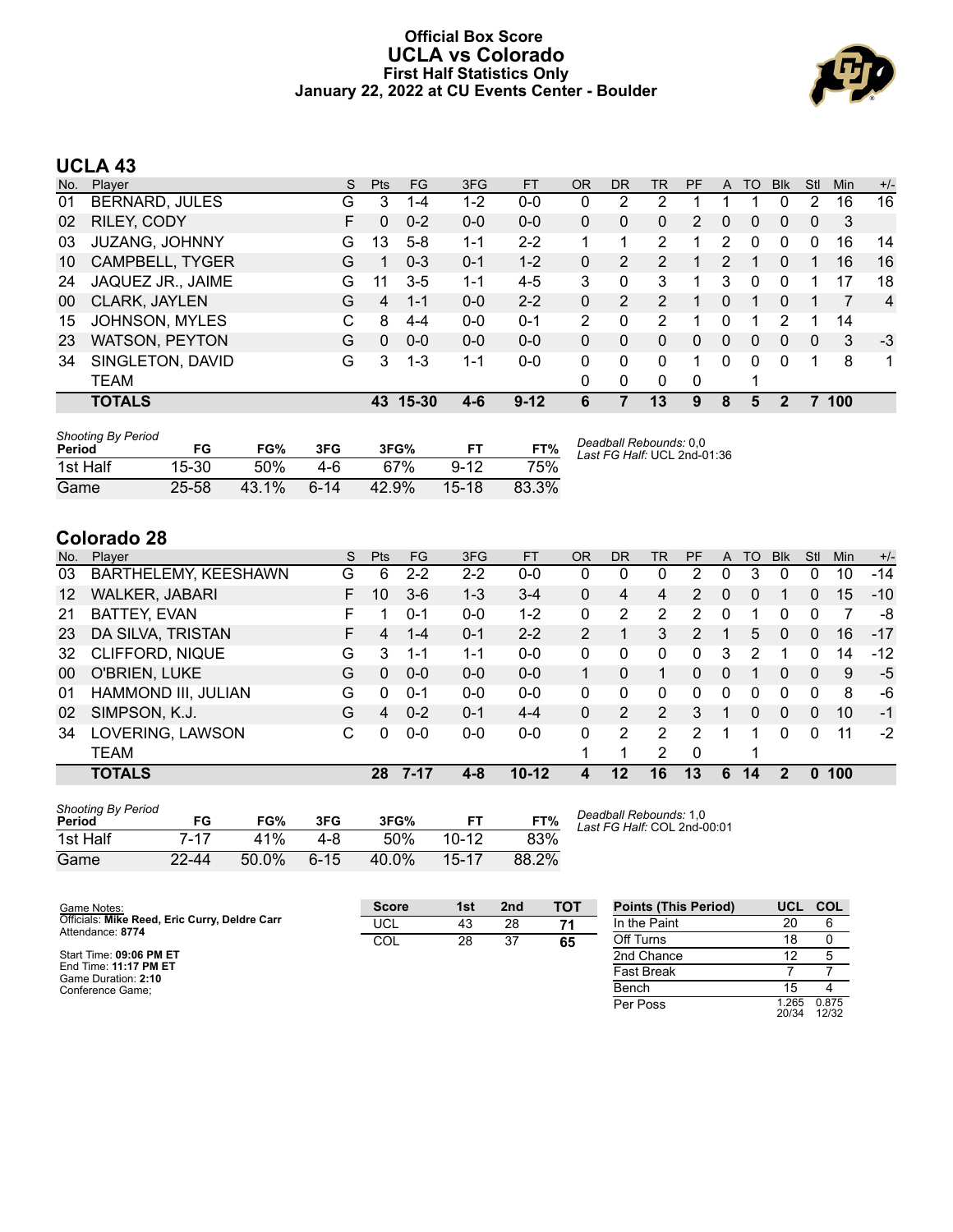#### **Official Box Score UCLA vs Colorado First Half Statistics Only January 22, 2022 at CU Events Center - Boulder**



# **UCLA 43**

| No. | Plaver                 | S  | <b>Pts</b> | <b>FG</b> | 3FG     | <b>FT</b> | <b>OR</b> | <b>DR</b> | TR       | PF | A            | TO | <b>Blk</b>   | Stl      | Min | $+/-$ |
|-----|------------------------|----|------------|-----------|---------|-----------|-----------|-----------|----------|----|--------------|----|--------------|----------|-----|-------|
| 01  | BERNARD, JULES         | G  | 3          | 1-4       | $1-2$   | $0 - 0$   | 0         | 2         | 2        |    |              |    | 0            | 2        | 16  | 16    |
| 02  | RILEY, CODY            | F. | 0          | $0 - 2$   | $0 - 0$ | $0 - 0$   | 0         | 0         | 0        | 2  | $\mathbf{0}$ | 0  | $\mathbf{0}$ | $\Omega$ | -3  |       |
| 03  | <b>JUZANG, JOHNNY</b>  | G  | 13         | $5-8$     | $1 - 1$ | $2 - 2$   |           | 1         | 2        |    | 2            | 0  | 0            | 0        | 16  | 14    |
| 10  | <b>CAMPBELL, TYGER</b> | G  |            | $0 - 3$   | $0 - 1$ | $1 - 2$   | 0         | 2         | 2        |    | 2            | 1  | 0            |          | 16  | 16    |
| 24  | JAQUEZ JR., JAIME      | G  | 11         | $3 - 5$   | $1 - 1$ | $4 - 5$   | 3         | 0         | 3        |    | 3            | 0  | 0            |          | 17  | 18    |
| 00  | CLARK, JAYLEN          | G  | 4          | $1 - 1$   | $0 - 0$ | $2 - 2$   | 0         | 2         | 2        |    | 0            |    | 0            |          |     | 4     |
| 15  | <b>JOHNSON, MYLES</b>  | С  | 8          | $4 - 4$   | $0 - 0$ | $0 - 1$   | 2         | 0         | 2        |    | 0            |    | 2            |          | 14  |       |
| 23  | <b>WATSON, PEYTON</b>  | G  | $\Omega$   | $0 - 0$   | $0 - 0$ | $0 - 0$   | 0         | 0         | 0        | 0  | $\Omega$     | 0  | 0            | $\Omega$ | 3   | $-3$  |
| 34  | SINGLETON, DAVID       | G  | 3          | $1 - 3$   | $1 - 1$ | $0 - 0$   | 0         | $\Omega$  | $\Omega$ | 1  | $\Omega$     | 0  | 0            |          | 8   | 1     |
|     | <b>TEAM</b>            |    |            |           |         |           | 0         | 0         | $\Omega$ | 0  |              |    |              |          |     |       |
|     | <b>TOTALS</b>          |    | 43         | 15-30     | 4-6     | $9 - 12$  | 6         |           | 13       | 9  | 8            | 5  |              |          | 100 |       |

| <b>Shooting By Period</b><br>Period | FG    | FG%   | 3FG    | 3FG%  | FT.      | FT%   | Deadball Rebounds: 0,0<br>Last FG Half: UCL 2nd-01:36 |
|-------------------------------------|-------|-------|--------|-------|----------|-------|-------------------------------------------------------|
| 1st Half                            | 15-30 | 50%   | 4-6    | 67%   | $9 - 12$ | 75%   |                                                       |
| Game                                | 25-58 | 43.1% | $6-14$ | 42.9% | $15-18$  | 83.3% |                                                       |

# **Colorado 28**

| No.               | Player                 | S | <b>Pts</b> | FG      | 3FG     | <b>FT</b> | <b>OR</b> | DR       | <b>TR</b> | PF       | A | TO | <b>Blk</b>     | Stl          | Min | $+/-$ |
|-------------------|------------------------|---|------------|---------|---------|-----------|-----------|----------|-----------|----------|---|----|----------------|--------------|-----|-------|
| 03                | BARTHELEMY, KEESHAWN   | G | 6          | $2 - 2$ | $2 - 2$ | $0 - 0$   | 0         | 0        | 0         | 2        | 0 | 3  | 0              | 0            | 10  | $-14$ |
| $12 \overline{ }$ | <b>WALKER, JABARI</b>  | F | 10         | $3-6$   | $1 - 3$ | $3 - 4$   | 0         | 4        | 4         | 2        | 0 | 0  |                | 0            | 15  | $-10$ |
| 21                | <b>BATTEY, EVAN</b>    | F |            | $0 - 1$ | $0-0$   | $1 - 2$   | 0         | 2        | 2         | 2        | 0 |    | 0              | <sup>0</sup> |     | -8    |
| 23                | DA SILVA, TRISTAN      | F | 4          | 1-4     | $0 - 1$ | $2 - 2$   | 2         |          | 3         | 2        |   | 5  | $\mathbf{0}$   | 0            | 16  | $-17$ |
| 32                | <b>CLIFFORD, NIQUE</b> | G | 3          | 1-1     | 1-1     | $0 - 0$   | 0         | 0        | 0         | 0        | 3 | 2  |                | 0            | 14  | $-12$ |
| 00                | O'BRIEN, LUKE          | G | $\Omega$   | $0 - 0$ | $0 - 0$ | $0 - 0$   |           | 0        |           | $\Omega$ | 0 |    | $\overline{0}$ | 0            | 9   | $-5$  |
| 01                | HAMMOND III, JULIAN    | G | 0          | $0 - 1$ | $0 - 0$ | $0 - 0$   | 0         | $\Omega$ | $\Omega$  | 0        | 0 | 0  | 0              | 0            | 8   | -6    |
| 02                | SIMPSON, K.J.          | G | 4          | $0 - 2$ | $0 - 1$ | $4 - 4$   | 0         | 2        | 2         | 3        | 1 | 0  | $\Omega$       | 0            | 10  | $-1$  |
| 34                | LOVERING, LAWSON       | C | U          | $0-0$   | $0 - 0$ | $0 - 0$   | 0         | 2        | 2         | 2        | 1 |    | 0              | 0            | 11  | $-2$  |
|                   | <b>TEAM</b>            |   |            |         |         |           |           |          | 2         | $\Omega$ |   |    |                |              |     |       |
|                   | <b>TOTALS</b>          |   | 28         | 7-17    | 4-8     | $10-12$   | 4         | 12       | 16        | 13       | 6 | 14 | 2              | n            | 100 |       |

| <b>Shooting By Period</b><br>Period | FG    | FG%   | 3FG      | 3FG%  |           | FT%   |
|-------------------------------------|-------|-------|----------|-------|-----------|-------|
| 1st Half                            | 7-17  | 41%   | 4-8      | 50%   | $10 - 12$ | 83%   |
| Game                                | 22-44 | 50.0% | $6 - 15$ | 40.0% | 15-17     | 88.2% |

*Deadball Rebounds:* 1,0 *Last FG Half:* COL 2nd-00:01

| Game Notes:                                                       | <b>Score</b> | 1st | 2 <sub>nd</sub> | TOT | <b>Points (This Period)</b> | UCL.          | <b>COL</b>     |
|-------------------------------------------------------------------|--------------|-----|-----------------|-----|-----------------------------|---------------|----------------|
| Officials: Mike Reed, Eric Curry, Deldre Carr<br>Attendance: 8774 | UCL          | 43  | 28              | 71  | In the Paint                | 20            |                |
|                                                                   | COL          | 28  | 37              | 65  | Off Turns                   | 18            |                |
| Start Time: 09:06 PM ET                                           |              |     |                 |     | 2nd Chance                  |               |                |
| End Time: 11:17 PM ET<br>Game Duration: 2:10                      |              |     |                 |     | <b>Fast Break</b>           |               |                |
| Conference Game:                                                  |              |     |                 |     | Bench                       | 15            |                |
|                                                                   |              |     |                 |     | Per Poss                    | .265<br>20/34 | 0.875<br>12/32 |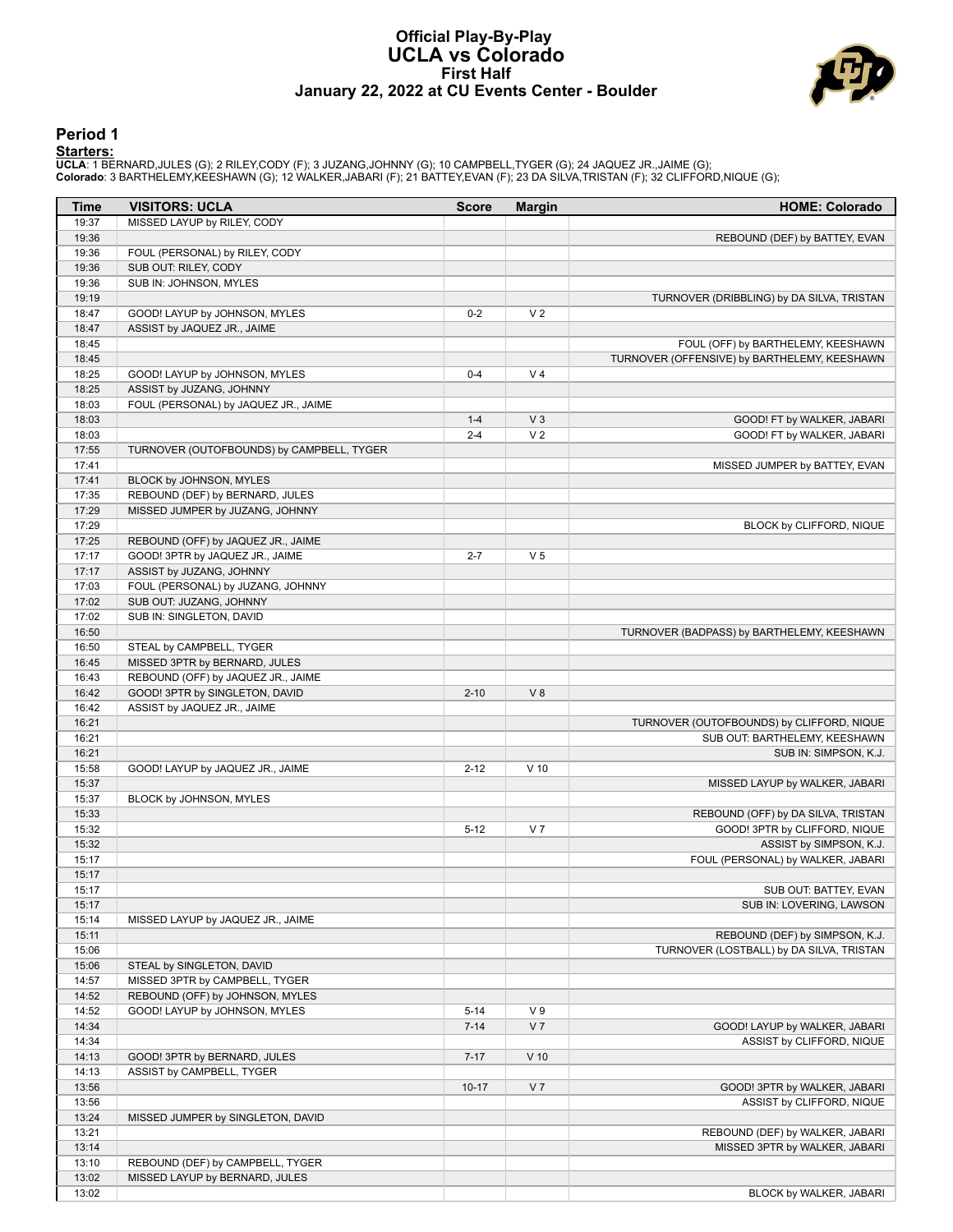#### **Official Play-By-Play UCLA vs Colorado First Half January 22, 2022 at CU Events Center - Boulder**



#### **Period 1**

<mark>Starters:</mark><br>UCLA: 1 BERNARD,JULES (G); 2 RILEY,CODY (F); 3 JUZANG,JOHNNY (G); 10 CAMPBELL,TYGER (G); 24 JAQUEZ JR.,JAIME (G);<br>Colorado: 3 BARTHELEMY,KEESHAWN (G); 12 WALKER,JABARI (F); 21 BATTEY,EVAN (F); 23 DA SILVA,TRIST

| Time           | <b>VISITORS: UCLA</b>                                                | <b>Score</b>         | <b>Margin</b>  | <b>HOME: Colorado</b>                        |
|----------------|----------------------------------------------------------------------|----------------------|----------------|----------------------------------------------|
| 19:37          | MISSED LAYUP by RILEY, CODY                                          |                      |                |                                              |
| 19:36          |                                                                      |                      |                | REBOUND (DEF) by BATTEY, EVAN                |
| 19:36          | FOUL (PERSONAL) by RILEY, CODY                                       |                      |                |                                              |
| 19:36          | SUB OUT: RILEY, CODY                                                 |                      |                |                                              |
| 19:36          | SUB IN: JOHNSON, MYLES                                               |                      |                |                                              |
| 19:19          |                                                                      |                      |                | TURNOVER (DRIBBLING) by DA SILVA, TRISTAN    |
| 18:47<br>18:47 | GOOD! LAYUP by JOHNSON, MYLES                                        | $0 - 2$              | V <sub>2</sub> |                                              |
| 18:45          | ASSIST by JAQUEZ JR., JAIME                                          |                      |                | FOUL (OFF) by BARTHELEMY, KEESHAWN           |
| 18:45          |                                                                      |                      |                | TURNOVER (OFFENSIVE) by BARTHELEMY, KEESHAWN |
| 18:25          | GOOD! LAYUP by JOHNSON, MYLES                                        | $0 - 4$              | V <sub>4</sub> |                                              |
| 18:25          | ASSIST by JUZANG, JOHNNY                                             |                      |                |                                              |
| 18:03          | FOUL (PERSONAL) by JAQUEZ JR., JAIME                                 |                      |                |                                              |
| 18:03          |                                                                      | $1 - 4$              | V <sub>3</sub> | GOOD! FT by WALKER, JABARI                   |
| 18:03          |                                                                      | $2 - 4$              | V <sub>2</sub> | GOOD! FT by WALKER, JABARI                   |
| 17:55          | TURNOVER (OUTOFBOUNDS) by CAMPBELL, TYGER                            |                      |                |                                              |
| 17:41          |                                                                      |                      |                | MISSED JUMPER by BATTEY, EVAN                |
| 17:41          | BLOCK by JOHNSON, MYLES                                              |                      |                |                                              |
| 17:35          | REBOUND (DEF) by BERNARD, JULES                                      |                      |                |                                              |
| 17:29          | MISSED JUMPER by JUZANG, JOHNNY                                      |                      |                |                                              |
| 17:29          |                                                                      |                      |                | BLOCK by CLIFFORD, NIQUE                     |
| 17:25          | REBOUND (OFF) by JAQUEZ JR., JAIME                                   |                      |                |                                              |
| 17:17          | GOOD! 3PTR by JAQUEZ JR., JAIME                                      | $2 - 7$              | V <sub>5</sub> |                                              |
| 17:17          | ASSIST by JUZANG, JOHNNY                                             |                      |                |                                              |
| 17:03          | FOUL (PERSONAL) by JUZANG, JOHNNY                                    |                      |                |                                              |
| 17:02          | SUB OUT: JUZANG, JOHNNY                                              |                      |                |                                              |
| 17:02          | SUB IN: SINGLETON, DAVID                                             |                      |                |                                              |
| 16:50          |                                                                      |                      |                | TURNOVER (BADPASS) by BARTHELEMY, KEESHAWN   |
| 16:50          | STEAL by CAMPBELL, TYGER                                             |                      |                |                                              |
| 16:45<br>16:43 | MISSED 3PTR by BERNARD, JULES                                        |                      |                |                                              |
| 16:42          | REBOUND (OFF) by JAQUEZ JR., JAIME<br>GOOD! 3PTR by SINGLETON, DAVID | $2 - 10$             | V8             |                                              |
| 16:42          | ASSIST by JAQUEZ JR., JAIME                                          |                      |                |                                              |
| 16:21          |                                                                      |                      |                | TURNOVER (OUTOFBOUNDS) by CLIFFORD, NIQUE    |
| 16:21          |                                                                      |                      |                | SUB OUT: BARTHELEMY, KEESHAWN                |
| 16:21          |                                                                      |                      |                | SUB IN: SIMPSON, K.J.                        |
| 15:58          | GOOD! LAYUP by JAQUEZ JR., JAIME                                     | $2 - 12$             | $V$ 10         |                                              |
| 15:37          |                                                                      |                      |                | MISSED LAYUP by WALKER, JABARI               |
| 15:37          | BLOCK by JOHNSON, MYLES                                              |                      |                |                                              |
| 15:33          |                                                                      |                      |                | REBOUND (OFF) by DA SILVA, TRISTAN           |
| 15:32          |                                                                      | $5 - 12$             | V <sub>7</sub> | GOOD! 3PTR by CLIFFORD, NIQUE                |
| 15:32          |                                                                      |                      |                | ASSIST by SIMPSON, K.J.                      |
| 15:17          |                                                                      |                      |                | FOUL (PERSONAL) by WALKER, JABARI            |
| 15:17          |                                                                      |                      |                |                                              |
| 15:17          |                                                                      |                      |                | SUB OUT: BATTEY, EVAN                        |
| 15:17          |                                                                      |                      |                | SUB IN: LOVERING, LAWSON                     |
| 15:14          | MISSED LAYUP by JAQUEZ JR., JAIME                                    |                      |                |                                              |
| 15:11          |                                                                      |                      |                | REBOUND (DEF) by SIMPSON, K.J.               |
| 15:06          |                                                                      |                      |                | TURNOVER (LOSTBALL) by DA SILVA, TRISTAN     |
| 15:06          | STEAL by SINGLETON, DAVID                                            |                      |                |                                              |
| 14:57          | MISSED 3PTR by CAMPBELL, TYGER                                       |                      |                |                                              |
| 14:52<br>14:52 | REBOUND (OFF) by JOHNSON, MYLES<br>GOOD! LAYUP by JOHNSON, MYLES     |                      | V <sub>9</sub> |                                              |
| 14:34          |                                                                      | $5 - 14$<br>$7 - 14$ | V <sub>7</sub> | GOOD! LAYUP by WALKER, JABARI                |
| 14:34          |                                                                      |                      |                | ASSIST by CLIFFORD, NIQUE                    |
| 14:13          | GOOD! 3PTR by BERNARD, JULES                                         | $7 - 17$             | $V$ 10         |                                              |
| 14:13          | ASSIST by CAMPBELL, TYGER                                            |                      |                |                                              |
| 13:56          |                                                                      | $10 - 17$            | V <sub>7</sub> | GOOD! 3PTR by WALKER, JABARI                 |
| 13:56          |                                                                      |                      |                | ASSIST by CLIFFORD, NIQUE                    |
| 13:24          | MISSED JUMPER by SINGLETON, DAVID                                    |                      |                |                                              |
| 13:21          |                                                                      |                      |                | REBOUND (DEF) by WALKER, JABARI              |
| 13:14          |                                                                      |                      |                | MISSED 3PTR by WALKER, JABARI                |
| 13:10          | REBOUND (DEF) by CAMPBELL, TYGER                                     |                      |                |                                              |
| 13:02          | MISSED LAYUP by BERNARD, JULES                                       |                      |                |                                              |
| 13:02          |                                                                      |                      |                | BLOCK by WALKER, JABARI                      |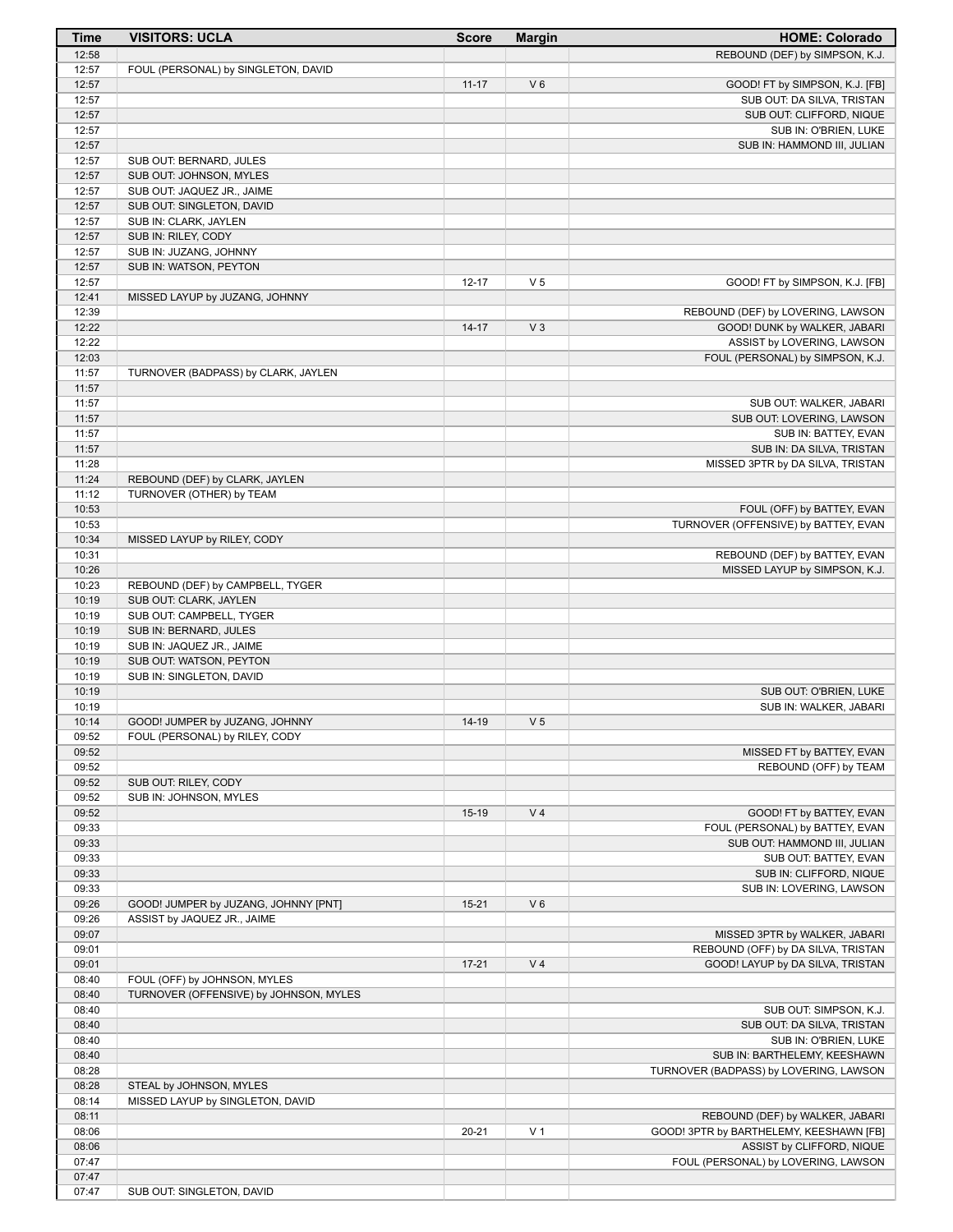| <b>Time</b>    | <b>VISITORS: UCLA</b>                                       | <b>Score</b> | <b>Margin</b>  | <b>HOME: Colorado</b>                                |
|----------------|-------------------------------------------------------------|--------------|----------------|------------------------------------------------------|
| 12:58          |                                                             |              |                | REBOUND (DEF) by SIMPSON, K.J.                       |
| 12:57          | FOUL (PERSONAL) by SINGLETON, DAVID                         |              |                |                                                      |
| 12:57          |                                                             | $11 - 17$    | $V_6$          | GOOD! FT by SIMPSON, K.J. [FB]                       |
| 12:57          |                                                             |              |                | SUB OUT: DA SILVA, TRISTAN                           |
| 12:57          |                                                             |              |                | SUB OUT: CLIFFORD, NIQUE                             |
| 12:57<br>12:57 |                                                             |              |                | SUB IN: O'BRIEN, LUKE<br>SUB IN: HAMMOND III, JULIAN |
| 12:57          | SUB OUT: BERNARD, JULES                                     |              |                |                                                      |
| 12:57          | SUB OUT: JOHNSON, MYLES                                     |              |                |                                                      |
| 12:57          | SUB OUT: JAQUEZ JR., JAIME                                  |              |                |                                                      |
| 12:57          | SUB OUT: SINGLETON, DAVID                                   |              |                |                                                      |
| 12:57          | SUB IN: CLARK, JAYLEN                                       |              |                |                                                      |
| 12:57          | SUB IN: RILEY, CODY                                         |              |                |                                                      |
| 12:57          | SUB IN: JUZANG, JOHNNY                                      |              |                |                                                      |
| 12:57          | SUB IN: WATSON, PEYTON                                      |              |                |                                                      |
| 12:57<br>12:41 | MISSED LAYUP by JUZANG, JOHNNY                              | $12 - 17$    | V <sub>5</sub> | GOOD! FT by SIMPSON, K.J. [FB]                       |
| 12:39          |                                                             |              |                | REBOUND (DEF) by LOVERING, LAWSON                    |
| 12:22          |                                                             | $14 - 17$    | $V_3$          | GOOD! DUNK by WALKER, JABARI                         |
| 12:22          |                                                             |              |                | ASSIST by LOVERING, LAWSON                           |
| 12:03          |                                                             |              |                | FOUL (PERSONAL) by SIMPSON, K.J.                     |
| 11:57          | TURNOVER (BADPASS) by CLARK, JAYLEN                         |              |                |                                                      |
| 11:57          |                                                             |              |                |                                                      |
| 11:57          |                                                             |              |                | SUB OUT: WALKER, JABARI                              |
| 11:57          |                                                             |              |                | SUB OUT: LOVERING, LAWSON                            |
| 11:57          |                                                             |              |                | SUB IN: BATTEY, EVAN                                 |
| 11:57<br>11:28 |                                                             |              |                | SUB IN: DA SILVA, TRISTAN                            |
| 11:24          | REBOUND (DEF) by CLARK, JAYLEN                              |              |                | MISSED 3PTR by DA SILVA, TRISTAN                     |
| 11:12          | TURNOVER (OTHER) by TEAM                                    |              |                |                                                      |
| 10:53          |                                                             |              |                | FOUL (OFF) by BATTEY, EVAN                           |
| 10:53          |                                                             |              |                | TURNOVER (OFFENSIVE) by BATTEY, EVAN                 |
| 10:34          | MISSED LAYUP by RILEY, CODY                                 |              |                |                                                      |
| 10:31          |                                                             |              |                | REBOUND (DEF) by BATTEY, EVAN                        |
| 10:26          |                                                             |              |                | MISSED LAYUP by SIMPSON, K.J.                        |
| 10:23          | REBOUND (DEF) by CAMPBELL, TYGER                            |              |                |                                                      |
| 10:19          | SUB OUT: CLARK, JAYLEN                                      |              |                |                                                      |
| 10:19<br>10:19 | SUB OUT: CAMPBELL, TYGER<br>SUB IN: BERNARD, JULES          |              |                |                                                      |
| 10:19          | SUB IN: JAQUEZ JR., JAIME                                   |              |                |                                                      |
| 10:19          | SUB OUT: WATSON, PEYTON                                     |              |                |                                                      |
| 10:19          | SUB IN: SINGLETON, DAVID                                    |              |                |                                                      |
| 10:19          |                                                             |              |                | SUB OUT: O'BRIEN, LUKE                               |
| 10:19          |                                                             |              |                | SUB IN: WALKER, JABARI                               |
| 10:14          | GOOD! JUMPER by JUZANG, JOHNNY                              | 14-19        | V <sub>5</sub> |                                                      |
| 09:52          | FOUL (PERSONAL) by RILEY, CODY                              |              |                |                                                      |
| 09:52<br>09:52 |                                                             |              |                | MISSED FT by BATTEY, EVAN<br>REBOUND (OFF) by TEAM   |
| 09:52          | SUB OUT: RILEY, CODY                                        |              |                |                                                      |
| 09:52          | SUB IN: JOHNSON, MYLES                                      |              |                |                                                      |
| 09:52          |                                                             | $15-19$      | V <sub>4</sub> | GOOD! FT by BATTEY, EVAN                             |
| 09:33          |                                                             |              |                | FOUL (PERSONAL) by BATTEY, EVAN                      |
| 09:33          |                                                             |              |                | SUB OUT: HAMMOND III, JULIAN                         |
| 09:33          |                                                             |              |                | SUB OUT: BATTEY, EVAN                                |
| 09:33          |                                                             |              |                | SUB IN: CLIFFORD, NIQUE                              |
| 09:33          |                                                             |              |                | SUB IN: LOVERING, LAWSON                             |
| 09:26          | GOOD! JUMPER by JUZANG, JOHNNY [PNT]                        | $15 - 21$    | $V_6$          |                                                      |
| 09:26<br>09:07 | ASSIST by JAQUEZ JR., JAIME                                 |              |                | MISSED 3PTR by WALKER, JABARI                        |
| 09:01          |                                                             |              |                | REBOUND (OFF) by DA SILVA, TRISTAN                   |
| 09:01          |                                                             | $17 - 21$    | V <sub>4</sub> | GOOD! LAYUP by DA SILVA, TRISTAN                     |
| 08:40          | FOUL (OFF) by JOHNSON, MYLES                                |              |                |                                                      |
| 08:40          | TURNOVER (OFFENSIVE) by JOHNSON, MYLES                      |              |                |                                                      |
| 08:40          |                                                             |              |                | SUB OUT: SIMPSON, K.J.                               |
| 08:40          |                                                             |              |                | SUB OUT: DA SILVA, TRISTAN                           |
| 08:40          |                                                             |              |                | SUB IN: O'BRIEN, LUKE                                |
| 08:40          |                                                             |              |                | SUB IN: BARTHELEMY, KEESHAWN                         |
| 08:28          |                                                             |              |                | TURNOVER (BADPASS) by LOVERING, LAWSON               |
| 08:28<br>08:14 | STEAL by JOHNSON, MYLES<br>MISSED LAYUP by SINGLETON, DAVID |              |                |                                                      |
| 08:11          |                                                             |              |                | REBOUND (DEF) by WALKER, JABARI                      |
| 08:06          |                                                             | $20 - 21$    | V <sub>1</sub> | GOOD! 3PTR by BARTHELEMY, KEESHAWN [FB]              |
| 08:06          |                                                             |              |                | ASSIST by CLIFFORD, NIQUE                            |
| 07:47          |                                                             |              |                | FOUL (PERSONAL) by LOVERING, LAWSON                  |
| 07:47          |                                                             |              |                |                                                      |
| 07:47          | SUB OUT: SINGLETON, DAVID                                   |              |                |                                                      |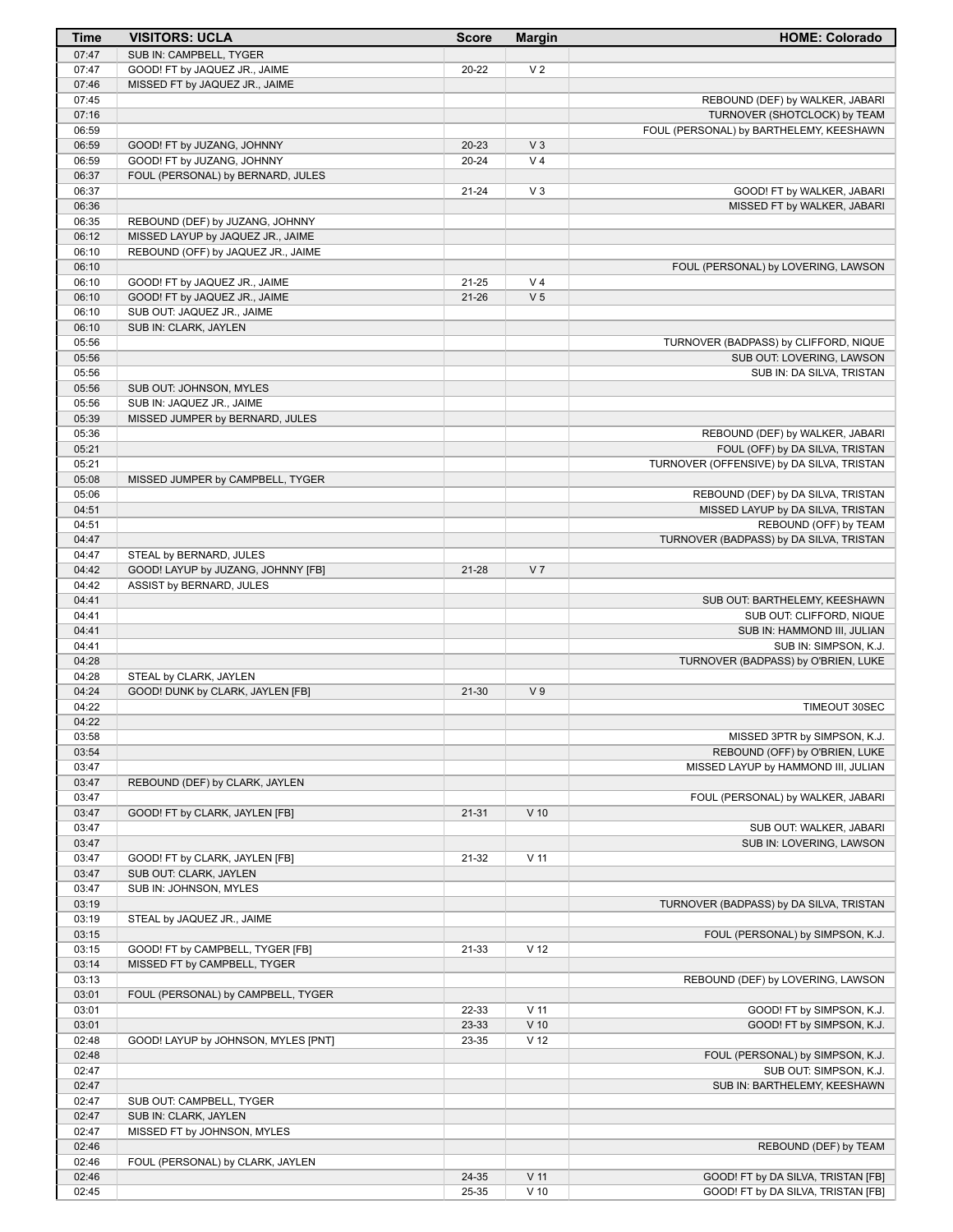| Time           | <b>VISITORS: UCLA</b>                                            | <b>Score</b> | <b>Margin</b>   | <b>HOME: Colorado</b>                                                   |
|----------------|------------------------------------------------------------------|--------------|-----------------|-------------------------------------------------------------------------|
| 07:47          | SUB IN: CAMPBELL, TYGER                                          |              |                 |                                                                         |
| 07:47          | GOOD! FT by JAQUEZ JR., JAIME                                    | 20-22        | V <sub>2</sub>  |                                                                         |
| 07:46          | MISSED FT by JAQUEZ JR., JAIME                                   |              |                 |                                                                         |
| 07:45          |                                                                  |              |                 | REBOUND (DEF) by WALKER, JABARI                                         |
| 07:16<br>06:59 |                                                                  |              |                 | TURNOVER (SHOTCLOCK) by TEAM<br>FOUL (PERSONAL) by BARTHELEMY, KEESHAWN |
| 06:59          | GOOD! FT by JUZANG, JOHNNY                                       | $20 - 23$    | V <sub>3</sub>  |                                                                         |
| 06:59          | GOOD! FT by JUZANG, JOHNNY                                       | $20 - 24$    | V <sub>4</sub>  |                                                                         |
| 06:37          | FOUL (PERSONAL) by BERNARD, JULES                                |              |                 |                                                                         |
| 06:37          |                                                                  | $21 - 24$    | $V_3$           | GOOD! FT by WALKER, JABARI                                              |
| 06:36          |                                                                  |              |                 | MISSED FT by WALKER, JABARI                                             |
| 06:35          | REBOUND (DEF) by JUZANG, JOHNNY                                  |              |                 |                                                                         |
| 06:12          | MISSED LAYUP by JAQUEZ JR., JAIME                                |              |                 |                                                                         |
| 06:10          | REBOUND (OFF) by JAQUEZ JR., JAIME                               |              |                 |                                                                         |
| 06:10<br>06:10 | GOOD! FT by JAQUEZ JR., JAIME                                    | 21-25        | V <sub>4</sub>  | FOUL (PERSONAL) by LOVERING, LAWSON                                     |
| 06:10          | GOOD! FT by JAQUEZ JR., JAIME                                    | $21 - 26$    | V <sub>5</sub>  |                                                                         |
| 06:10          | SUB OUT: JAQUEZ JR., JAIME                                       |              |                 |                                                                         |
| 06:10          | SUB IN: CLARK, JAYLEN                                            |              |                 |                                                                         |
| 05:56          |                                                                  |              |                 | TURNOVER (BADPASS) by CLIFFORD, NIQUE                                   |
| 05:56          |                                                                  |              |                 | SUB OUT: LOVERING, LAWSON                                               |
| 05:56          |                                                                  |              |                 | SUB IN: DA SILVA, TRISTAN                                               |
| 05:56          | SUB OUT: JOHNSON, MYLES                                          |              |                 |                                                                         |
| 05:56<br>05:39 | SUB IN: JAQUEZ JR., JAIME<br>MISSED JUMPER by BERNARD, JULES     |              |                 |                                                                         |
| 05:36          |                                                                  |              |                 | REBOUND (DEF) by WALKER, JABARI                                         |
| 05:21          |                                                                  |              |                 | FOUL (OFF) by DA SILVA, TRISTAN                                         |
| 05:21          |                                                                  |              |                 | TURNOVER (OFFENSIVE) by DA SILVA, TRISTAN                               |
| 05:08          | MISSED JUMPER by CAMPBELL, TYGER                                 |              |                 |                                                                         |
| 05:06          |                                                                  |              |                 | REBOUND (DEF) by DA SILVA, TRISTAN                                      |
| 04:51          |                                                                  |              |                 | MISSED LAYUP by DA SILVA, TRISTAN                                       |
| 04:51          |                                                                  |              |                 | REBOUND (OFF) by TEAM                                                   |
| 04:47<br>04:47 | STEAL by BERNARD, JULES                                          |              |                 | TURNOVER (BADPASS) by DA SILVA, TRISTAN                                 |
| 04:42          | GOOD! LAYUP by JUZANG, JOHNNY [FB]                               | 21-28        | V <sub>7</sub>  |                                                                         |
| 04:42          | ASSIST by BERNARD, JULES                                         |              |                 |                                                                         |
| 04:41          |                                                                  |              |                 | SUB OUT: BARTHELEMY, KEESHAWN                                           |
| 04:41          |                                                                  |              |                 | SUB OUT: CLIFFORD, NIQUE                                                |
| 04:41          |                                                                  |              |                 | SUB IN: HAMMOND III, JULIAN                                             |
| 04:41          |                                                                  |              |                 | SUB IN: SIMPSON, K.J.                                                   |
| 04:28          |                                                                  |              |                 | TURNOVER (BADPASS) by O'BRIEN, LUKE                                     |
| 04:28<br>04:24 | STEAL by CLARK, JAYLEN<br>GOOD! DUNK by CLARK, JAYLEN [FB]       | $21-30$      | V <sub>9</sub>  |                                                                         |
| 04:22          |                                                                  |              |                 | TIMEOUT 30SEC                                                           |
| 04:22          |                                                                  |              |                 |                                                                         |
| 03:58          |                                                                  |              |                 | MISSED 3PTR by SIMPSON, K.J.                                            |
| 03:54          |                                                                  |              |                 | REBOUND (OFF) by O'BRIEN, LUKE                                          |
| 03:47          |                                                                  |              |                 | MISSED LAYUP by HAMMOND III, JULIAN                                     |
| 03:47          | REBOUND (DEF) by CLARK, JAYLEN                                   |              |                 |                                                                         |
| 03:47          |                                                                  |              |                 | FOUL (PERSONAL) by WALKER, JABARI                                       |
| 03:47<br>03:47 | GOOD! FT by CLARK, JAYLEN [FB]                                   | $21 - 31$    | $V$ 10          | SUB OUT: WALKER, JABARI                                                 |
| 03:47          |                                                                  |              |                 | SUB IN: LOVERING, LAWSON                                                |
| 03:47          | GOOD! FT by CLARK, JAYLEN [FB]                                   | 21-32        | $V$ 11          |                                                                         |
| 03:47          | SUB OUT: CLARK, JAYLEN                                           |              |                 |                                                                         |
| 03:47          | SUB IN: JOHNSON, MYLES                                           |              |                 |                                                                         |
| 03:19          |                                                                  |              |                 | TURNOVER (BADPASS) by DA SILVA, TRISTAN                                 |
| 03:19          | STEAL by JAQUEZ JR., JAIME                                       |              |                 |                                                                         |
| 03:15<br>03:15 |                                                                  | 21-33        | V <sub>12</sub> | FOUL (PERSONAL) by SIMPSON, K.J.                                        |
| 03:14          | GOOD! FT by CAMPBELL, TYGER [FB]<br>MISSED FT by CAMPBELL, TYGER |              |                 |                                                                         |
| 03:13          |                                                                  |              |                 | REBOUND (DEF) by LOVERING, LAWSON                                       |
| 03:01          | FOUL (PERSONAL) by CAMPBELL, TYGER                               |              |                 |                                                                         |
| 03:01          |                                                                  | 22-33        | $V$ 11          | GOOD! FT by SIMPSON, K.J.                                               |
| 03:01          |                                                                  | 23-33        | $V$ 10          | GOOD! FT by SIMPSON, K.J.                                               |
| 02:48          | GOOD! LAYUP by JOHNSON, MYLES [PNT]                              | 23-35        | V <sub>12</sub> |                                                                         |
| 02:48          |                                                                  |              |                 | FOUL (PERSONAL) by SIMPSON, K.J.                                        |
| 02:47          |                                                                  |              |                 | SUB OUT: SIMPSON, K.J.                                                  |
| 02:47<br>02:47 | SUB OUT: CAMPBELL, TYGER                                         |              |                 | SUB IN: BARTHELEMY, KEESHAWN                                            |
| 02:47          | SUB IN: CLARK, JAYLEN                                            |              |                 |                                                                         |
| 02:47          | MISSED FT by JOHNSON, MYLES                                      |              |                 |                                                                         |
| 02:46          |                                                                  |              |                 | REBOUND (DEF) by TEAM                                                   |
| 02:46          | FOUL (PERSONAL) by CLARK, JAYLEN                                 |              |                 |                                                                         |
| 02:46          |                                                                  | 24-35        | $V$ 11          | GOOD! FT by DA SILVA, TRISTAN [FB]                                      |
| 02:45          |                                                                  | 25-35        | $V$ 10          | GOOD! FT by DA SILVA, TRISTAN [FB]                                      |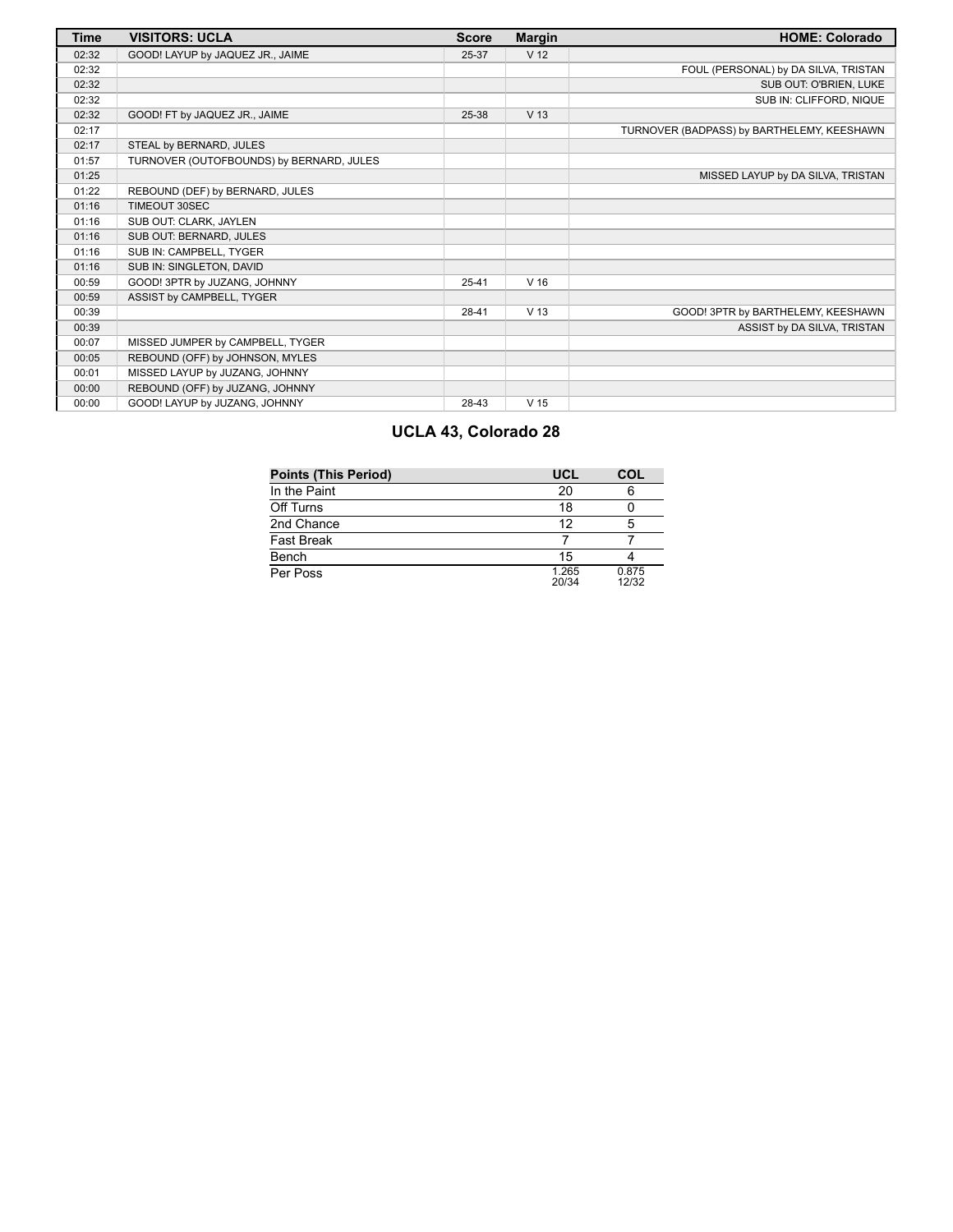| <b>Time</b> | <b>VISITORS: UCLA</b>                    | <b>Score</b> | <b>Margin</b>   | <b>HOME: Colorado</b>                      |
|-------------|------------------------------------------|--------------|-----------------|--------------------------------------------|
| 02:32       | GOOD! LAYUP by JAQUEZ JR., JAIME         | 25-37        | V <sub>12</sub> |                                            |
| 02:32       |                                          |              |                 | FOUL (PERSONAL) by DA SILVA, TRISTAN       |
| 02:32       |                                          |              |                 | SUB OUT: O'BRIEN, LUKE                     |
| 02:32       |                                          |              |                 | SUB IN: CLIFFORD, NIQUE                    |
| 02:32       | GOOD! FT by JAQUEZ JR., JAIME            | 25-38        | V <sub>13</sub> |                                            |
| 02:17       |                                          |              |                 | TURNOVER (BADPASS) by BARTHELEMY, KEESHAWN |
| 02:17       | STEAL by BERNARD, JULES                  |              |                 |                                            |
| 01:57       | TURNOVER (OUTOFBOUNDS) by BERNARD, JULES |              |                 |                                            |
| 01:25       |                                          |              |                 | MISSED LAYUP by DA SILVA, TRISTAN          |
| 01:22       | REBOUND (DEF) by BERNARD, JULES          |              |                 |                                            |
| 01:16       | TIMEOUT 30SEC                            |              |                 |                                            |
| 01:16       | SUB OUT: CLARK, JAYLEN                   |              |                 |                                            |
| 01:16       | SUB OUT: BERNARD, JULES                  |              |                 |                                            |
| 01:16       | SUB IN: CAMPBELL, TYGER                  |              |                 |                                            |
| 01:16       | SUB IN: SINGLETON, DAVID                 |              |                 |                                            |
| 00:59       | GOOD! 3PTR by JUZANG, JOHNNY             | $25 - 41$    | V <sub>16</sub> |                                            |
| 00:59       | ASSIST by CAMPBELL, TYGER                |              |                 |                                            |
| 00:39       |                                          | $28 - 41$    | V <sub>13</sub> | GOOD! 3PTR by BARTHELEMY, KEESHAWN         |
| 00:39       |                                          |              |                 | ASSIST by DA SILVA, TRISTAN                |
| 00:07       | MISSED JUMPER by CAMPBELL, TYGER         |              |                 |                                            |
| 00:05       | REBOUND (OFF) by JOHNSON, MYLES          |              |                 |                                            |
| 00:01       | MISSED LAYUP by JUZANG, JOHNNY           |              |                 |                                            |
| 00:00       | REBOUND (OFF) by JUZANG, JOHNNY          |              |                 |                                            |
| 00:00       | GOOD! LAYUP by JUZANG, JOHNNY            | 28-43        | V <sub>15</sub> |                                            |

# **UCLA 43, Colorado 28**

| <b>Points (This Period)</b> | UCL            | COL            |
|-----------------------------|----------------|----------------|
| In the Paint                | 20             |                |
| Off Turns                   | 18             |                |
| 2nd Chance                  | 12             | 5              |
| <b>Fast Break</b>           |                |                |
| Bench                       | 15             |                |
| Per Poss                    | 1.265<br>20/34 | 0.875<br>12/32 |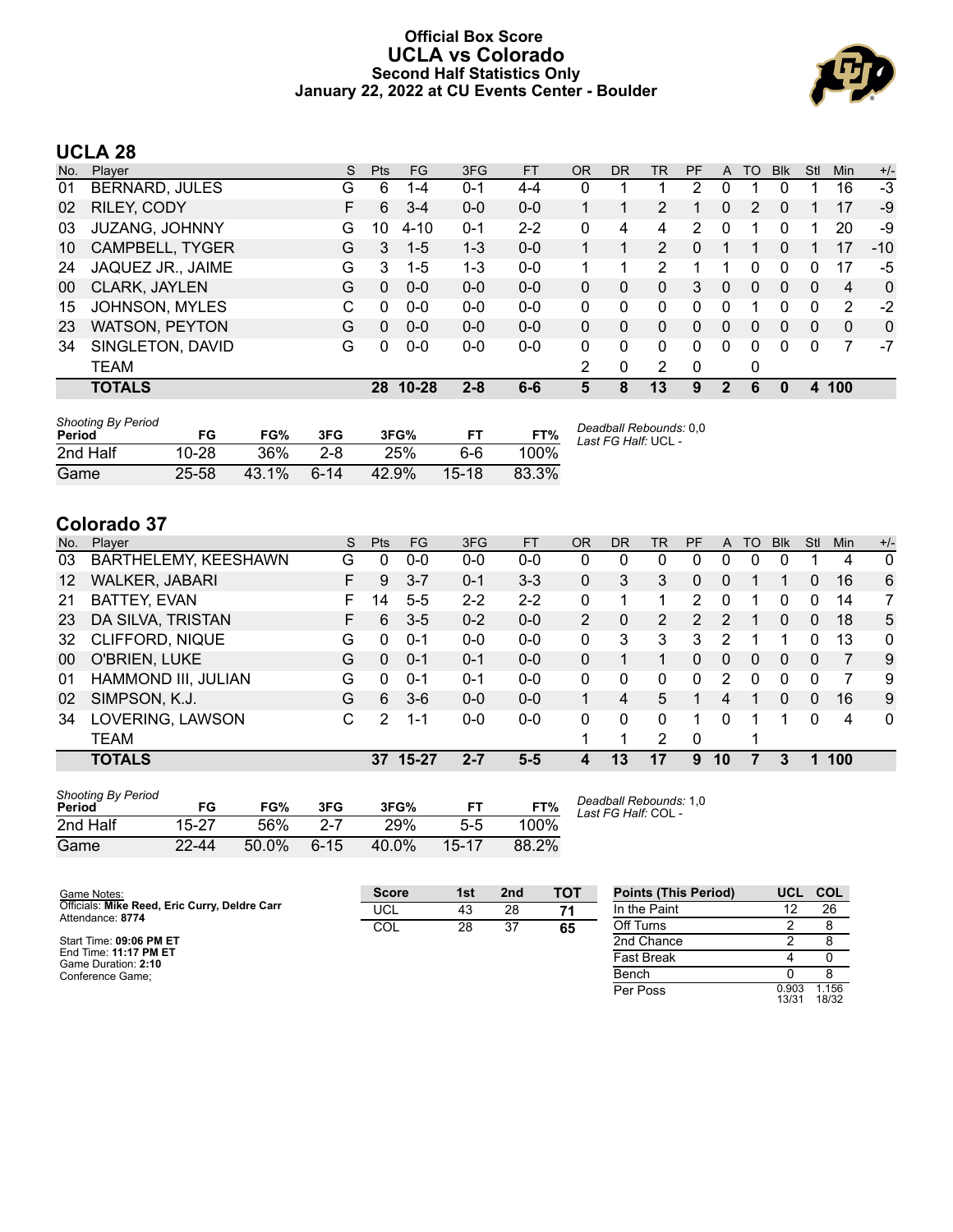### **Official Box Score UCLA vs Colorado Second Half Statistics Only January 22, 2022 at CU Events Center - Boulder**



# **UCLA 28**

| No. | Plaver                | S | <b>Pts</b> | FG        | 3FG     | <b>FT</b> | OR | <b>DR</b> | TR             | PF             | A            | TO | <b>B</b> lk  | Stl          | Min            | $+/-$        |
|-----|-----------------------|---|------------|-----------|---------|-----------|----|-----------|----------------|----------------|--------------|----|--------------|--------------|----------------|--------------|
| 01  | <b>BERNARD, JULES</b> | G | 6          | 1-4       | 0-1     | $4 - 4$   | 0  |           |                | $\overline{2}$ | 0            |    | 0            |              | 16             | $-3$         |
| 02  | RILEY, CODY           | F | 6          | $3 - 4$   | $0 - 0$ | $0 - 0$   |    |           | 2              |                | 0            | 2  | 0            |              | 17             | -9           |
| 03  | <b>JUZANG, JOHNNY</b> | G | 10         | $4 - 10$  | $0 - 1$ | $2 - 2$   | 0  | 4         | 4              | 2              | $\mathbf{0}$ |    | 0            |              | 20             | -9           |
| 10  | CAMPBELL, TYGER       | G | 3          | $1 - 5$   | $1 - 3$ | $0 - 0$   |    |           | $\overline{2}$ | 0              |              |    | 0            |              | 17             | $-10$        |
| 24  | JAQUEZ JR., JAIME     | G | 3          | $1-5$     | 1-3     | $0 - 0$   |    | 1         | $\mathcal{P}$  |                |              | 0  | 0            | 0            | 17             | -5           |
| 00  | CLARK, JAYLEN         | G | $\Omega$   | $0 - 0$   | $0 - 0$ | $0 - 0$   | 0  | 0         | 0              | 3              | $\mathbf{0}$ | 0  | $\mathbf{0}$ | $\Omega$     | $\overline{4}$ | $\mathbf{0}$ |
| 15  | <b>JOHNSON, MYLES</b> | C | 0          | $0 - 0$   | $0 - 0$ | $0 - 0$   | 0  | 0         | $\Omega$       | 0              | $\Omega$     | 1  | 0            | 0            | 2              | -2           |
| 23  | WATSON, PEYTON        | G | 0          | $0 - 0$   | $0 - 0$ | $0 - 0$   | 0  | 0         | 0              | $\Omega$       | $\Omega$     | 0  | $\Omega$     | $\Omega$     | $\Omega$       | $\mathbf{0}$ |
| 34  | SINGLETON, DAVID      | G | 0          | $0 - 0$   | $0-0$   | $0 - 0$   | 0  | $\Omega$  | $\Omega$       | $\Omega$       | $\Omega$     | 0  | 0            | <sup>0</sup> | 7              | $-7$         |
|     | <b>TEAM</b>           |   |            |           |         |           | 2  | 0         | 2              | 0              |              | 0  |              |              |                |              |
|     | <b>TOTALS</b>         |   | 28         | $10 - 28$ | $2 - 8$ | $6-6$     | 5  | 8         | 13             | 9              | $\mathbf{2}$ | 6  | 0            | 4            | 100            |              |
|     |                       |   |            |           |         |           |    |           |                |                |              |    |              |              |                |              |

| <b>Shooting By Period</b><br>Period | FG        | FG%   | 3FG     | 3FG%  |         | FT%   | Deadball Rebounds: 0.0<br>Last FG Half: UCL - |
|-------------------------------------|-----------|-------|---------|-------|---------|-------|-----------------------------------------------|
| 2nd Half                            | $10 - 28$ | 36%   | $2 - 8$ | 25%   | 6-6     | 100%  |                                               |
| Game                                | 25-58     | 43.1% | $6-14$  | 42.9% | $15-18$ | 83.3% |                                               |

# **Colorado 37**

| No.               | Plaver                 | S | <b>Pts</b> | FG        | 3FG     | <b>FT</b> | <b>OR</b>      | DR | TR             | PF            | A        | TO | <b>Blk</b> | Stl      | Min | $+/-$        |
|-------------------|------------------------|---|------------|-----------|---------|-----------|----------------|----|----------------|---------------|----------|----|------------|----------|-----|--------------|
| 03                | BARTHELEMY, KEESHAWN   | G | 0          | $0-0$     | $0 - 0$ | $0 - 0$   | 0              | 0  | 0              | 0             | 0        | 0  | 0          |          | 4   | 0            |
| $12 \overline{ }$ | <b>WALKER, JABARI</b>  | F | 9          | $3 - 7$   | $0 - 1$ | $3 - 3$   | 0              | 3  | 3              | 0             | 0        |    |            | 0        | 16  | 6            |
| 21                | <b>BATTEY, EVAN</b>    | F | 14         | $5 - 5$   | $2 - 2$ | $2 - 2$   | $\Omega$       |    |                | 2             | 0        |    | 0          | $\Omega$ | 14  | 7            |
| 23                | DA SILVA, TRISTAN      | F | 6          | $3 - 5$   | $0 - 2$ | $0 - 0$   | $\overline{2}$ | 0  | $\overline{2}$ | $\mathcal{P}$ | 2        | 1  | $\Omega$   | $\Omega$ | 18  | 5            |
| 32                | <b>CLIFFORD, NIQUE</b> | G | 0          | $0 - 1$   | $0 - 0$ | $0 - 0$   | 0              | 3  | 3              | 3             | 2        |    |            | 0        | 13  | $\mathbf{0}$ |
| 00                | O'BRIEN, LUKE          | G | 0          | $0 - 1$   | $0 - 1$ | $0 - 0$   | 0              |    |                | 0             | $\Omega$ | 0  | $\Omega$   | 0        | 7   | 9            |
| 01                | HAMMOND III, JULIAN    | G | 0          | $0 - 1$   | $0 - 1$ | $0 - 0$   | 0              | 0  | 0              | 0             | 2        | 0  | $\Omega$   | 0        |     | 9            |
| 02                | SIMPSON, K.J.          | G | 6          | $3 - 6$   | $0 - 0$ | $0 - 0$   |                | 4  | 5              |               | 4        |    | $\Omega$   | $\Omega$ | 16  | 9            |
| 34                | LOVERING, LAWSON       | С | 2          | 1-1       | $0 - 0$ | $0 - 0$   | 0              | 0  | 0              | 1             | $\Omega$ |    |            | $\Omega$ | 4   | $\mathbf{0}$ |
|                   | <b>TEAM</b>            |   |            |           |         |           | 1              | л  | 2              | $\Omega$      |          | 1  |            |          |     |              |
|                   | <b>TOTALS</b>          |   | 37         | $15 - 27$ | $2 - 7$ | $5-5$     | 4              | 13 | 17             | 9             | 10       | 7  | 3          |          | 100 |              |
|                   |                        |   |            |           |         |           |                |    |                |               |          |    |            |          |     |              |

| <b>Shooting By Period</b><br>Period | FG        | FG%   | 3FG      | 3FG%  | FT    | FT%   |  |
|-------------------------------------|-----------|-------|----------|-------|-------|-------|--|
| 2nd Half                            | 15-27     | .56%  | $2 - 7$  | 29%   | 5-5   | 100%  |  |
| Game                                | $22 - 44$ | 50.0% | $6 - 15$ | 40.0% | 15-17 | 88.2% |  |

*Deadball Rebounds:* 1,0 *Last FG Half:* COL -

| Game Notes:                                                       | <b>Score</b> | 1st | 2 <sub>nd</sub> | TOT | <b>Points (This Period)</b> | UCL COL        |               |
|-------------------------------------------------------------------|--------------|-----|-----------------|-----|-----------------------------|----------------|---------------|
| Officials: Mike Reed, Eric Curry, Deldre Carr<br>Attendance: 8774 | UCL          | 43  | 28              | 71  | In the Paint                |                | 26            |
|                                                                   | COL          | 28  | 37              | 65  | Off Turns                   |                |               |
| Start Time: 09:06 PM ET                                           |              |     |                 |     | 2nd Chance                  |                |               |
| End Time: 11:17 PM ET<br>Game Duration: 2:10                      |              |     |                 |     | <b>Fast Break</b>           |                |               |
| Conference Game:                                                  |              |     |                 |     | Bench                       |                |               |
|                                                                   |              |     |                 |     | Per Poss                    | 0.903<br>13/31 | .156<br>18/32 |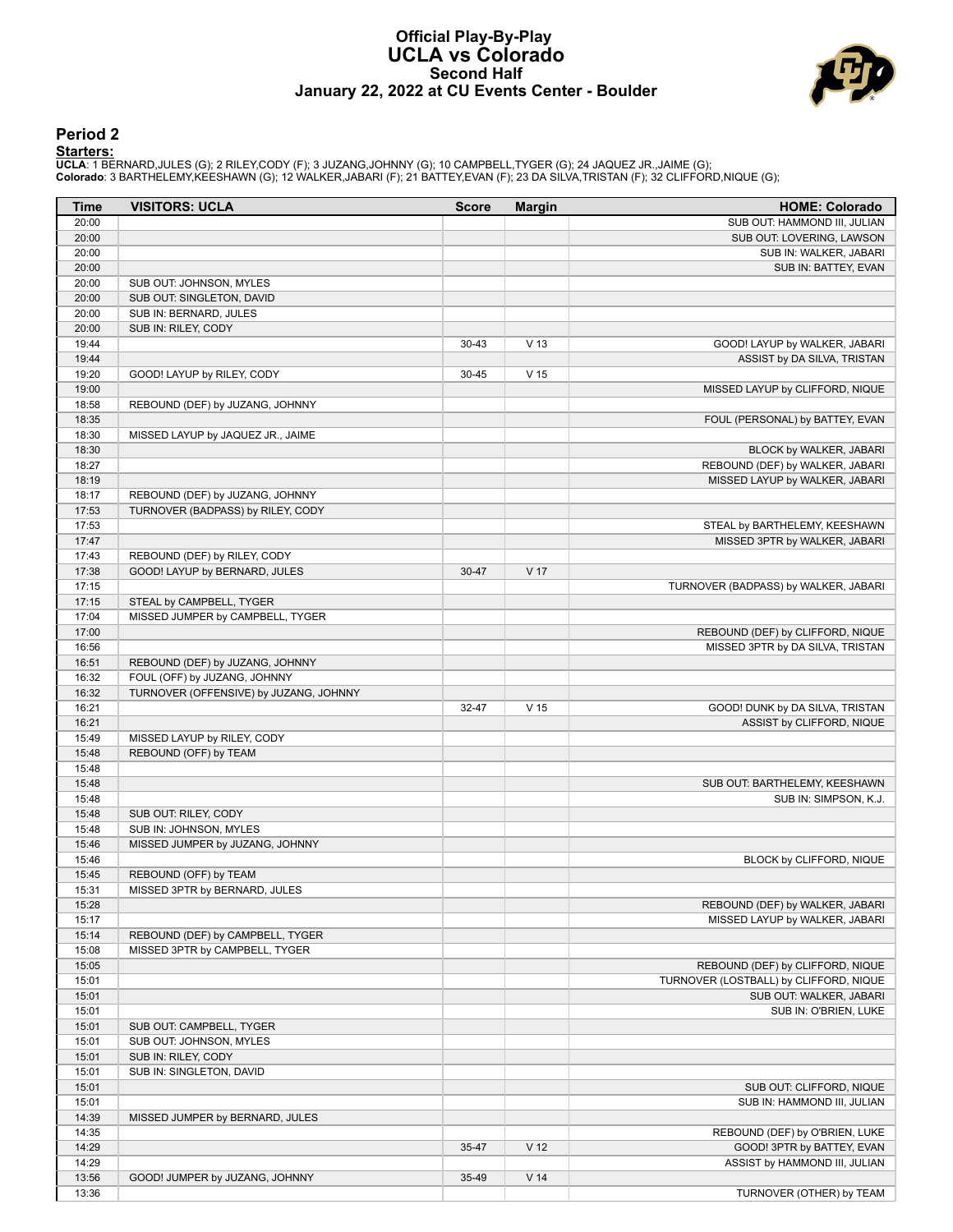#### **Official Play-By-Play UCLA vs Colorado Second Half January 22, 2022 at CU Events Center - Boulder**



### **Period 2**

<mark>Starters:</mark><br>UCLA: 1 BERNARD,JULES (G); 2 RILEY,CODY (F); 3 JUZANG,JOHNNY (G); 10 CAMPBELL,TYGER (G); 24 JAQUEZ JR.,JAIME (G);<br>Colorado: 3 BARTHELEMY,KEESHAWN (G); 12 WALKER,JABARI (F); 21 BATTEY,EVAN (F); 23 DA SILVA,TRIST

| Time           | <b>VISITORS: UCLA</b>                  | <b>Score</b> | <b>Margin</b>   | <b>HOME: Colorado</b>                  |
|----------------|----------------------------------------|--------------|-----------------|----------------------------------------|
| 20:00          |                                        |              |                 | SUB OUT: HAMMOND III, JULIAN           |
| 20:00          |                                        |              |                 | SUB OUT: LOVERING, LAWSON              |
| 20:00          |                                        |              |                 | SUB IN: WALKER, JABARI                 |
| 20:00          |                                        |              |                 | SUB IN: BATTEY, EVAN                   |
| 20:00          | SUB OUT: JOHNSON, MYLES                |              |                 |                                        |
| 20:00          | SUB OUT: SINGLETON, DAVID              |              |                 |                                        |
| 20:00          | SUB IN: BERNARD, JULES                 |              |                 |                                        |
| 20:00          | SUB IN: RILEY, CODY                    |              |                 |                                        |
| 19:44          |                                        | $30 - 43$    | V <sub>13</sub> | GOOD! LAYUP by WALKER, JABARI          |
| 19:44          |                                        |              |                 | ASSIST by DA SILVA, TRISTAN            |
| 19:20          | GOOD! LAYUP by RILEY, CODY             | 30-45        | V <sub>15</sub> |                                        |
| 19:00          |                                        |              |                 | MISSED LAYUP by CLIFFORD, NIQUE        |
| 18:58          | REBOUND (DEF) by JUZANG, JOHNNY        |              |                 |                                        |
| 18:35          |                                        |              |                 | FOUL (PERSONAL) by BATTEY, EVAN        |
| 18:30          | MISSED LAYUP by JAQUEZ JR., JAIME      |              |                 |                                        |
| 18:30          |                                        |              |                 | BLOCK by WALKER, JABARI                |
| 18:27          |                                        |              |                 | REBOUND (DEF) by WALKER, JABARI        |
| 18:19          |                                        |              |                 | MISSED LAYUP by WALKER, JABARI         |
| 18:17          | REBOUND (DEF) by JUZANG, JOHNNY        |              |                 |                                        |
| 17:53<br>17:53 | TURNOVER (BADPASS) by RILEY, CODY      |              |                 |                                        |
| 17:47          |                                        |              |                 | STEAL by BARTHELEMY, KEESHAWN          |
| 17:43          | REBOUND (DEF) by RILEY, CODY           |              |                 | MISSED 3PTR by WALKER, JABARI          |
| 17:38          | GOOD! LAYUP by BERNARD, JULES          | 30-47        | V 17            |                                        |
| 17:15          |                                        |              |                 | TURNOVER (BADPASS) by WALKER, JABARI   |
| 17:15          | STEAL by CAMPBELL, TYGER               |              |                 |                                        |
| 17:04          | MISSED JUMPER by CAMPBELL, TYGER       |              |                 |                                        |
| 17:00          |                                        |              |                 | REBOUND (DEF) by CLIFFORD, NIQUE       |
| 16:56          |                                        |              |                 | MISSED 3PTR by DA SILVA, TRISTAN       |
| 16:51          | REBOUND (DEF) by JUZANG, JOHNNY        |              |                 |                                        |
| 16:32          | FOUL (OFF) by JUZANG, JOHNNY           |              |                 |                                        |
| 16:32          | TURNOVER (OFFENSIVE) by JUZANG, JOHNNY |              |                 |                                        |
| 16:21          |                                        | 32-47        | V <sub>15</sub> | GOOD! DUNK by DA SILVA, TRISTAN        |
| 16:21          |                                        |              |                 | ASSIST by CLIFFORD, NIQUE              |
| 15:49          | MISSED LAYUP by RILEY, CODY            |              |                 |                                        |
| 15:48          | REBOUND (OFF) by TEAM                  |              |                 |                                        |
| 15:48          |                                        |              |                 |                                        |
| 15:48          |                                        |              |                 | SUB OUT: BARTHELEMY, KEESHAWN          |
| 15:48          |                                        |              |                 | SUB IN: SIMPSON, K.J.                  |
| 15:48          | SUB OUT: RILEY, CODY                   |              |                 |                                        |
| 15:48          | SUB IN: JOHNSON, MYLES                 |              |                 |                                        |
| 15:46          | MISSED JUMPER by JUZANG, JOHNNY        |              |                 |                                        |
| 15:46          |                                        |              |                 | BLOCK by CLIFFORD, NIQUE               |
| 15:45          | REBOUND (OFF) by TEAM                  |              |                 |                                        |
| 15:31          | MISSED 3PTR by BERNARD, JULES          |              |                 |                                        |
| 15:28          |                                        |              |                 | REBOUND (DEF) by WALKER, JABARI        |
| 15:17          |                                        |              |                 | MISSED LAYUP by WALKER, JABARI         |
| 15:14          | REBOUND (DEF) by CAMPBELL, TYGER       |              |                 |                                        |
| 15:08          | MISSED 3PTR by CAMPBELL, TYGER         |              |                 |                                        |
| 15:05          |                                        |              |                 | REBOUND (DEF) by CLIFFORD, NIQUE       |
| 15:01          |                                        |              |                 | TURNOVER (LOSTBALL) by CLIFFORD, NIQUE |
| 15:01          |                                        |              |                 | SUB OUT: WALKER, JABARI                |
| 15:01          |                                        |              |                 | SUB IN: O'BRIEN, LUKE                  |
| 15:01          | SUB OUT: CAMPBELL, TYGER               |              |                 |                                        |
| 15:01          | SUB OUT: JOHNSON, MYLES                |              |                 |                                        |
| 15:01          | SUB IN: RILEY, CODY                    |              |                 |                                        |
| 15:01          | SUB IN: SINGLETON, DAVID               |              |                 |                                        |
| 15:01          |                                        |              |                 | SUB OUT: CLIFFORD, NIQUE               |
| 15:01          |                                        |              |                 | SUB IN: HAMMOND III, JULIAN            |
| 14:39          | MISSED JUMPER by BERNARD, JULES        |              |                 |                                        |
| 14:35          |                                        |              |                 | REBOUND (DEF) by O'BRIEN, LUKE         |
| 14:29          |                                        | 35-47        | V <sub>12</sub> | GOOD! 3PTR by BATTEY, EVAN             |
| 14:29          |                                        |              |                 | ASSIST by HAMMOND III, JULIAN          |
| 13:56          | GOOD! JUMPER by JUZANG, JOHNNY         | 35-49        | V <sub>14</sub> |                                        |
| 13:36          |                                        |              |                 | TURNOVER (OTHER) by TEAM               |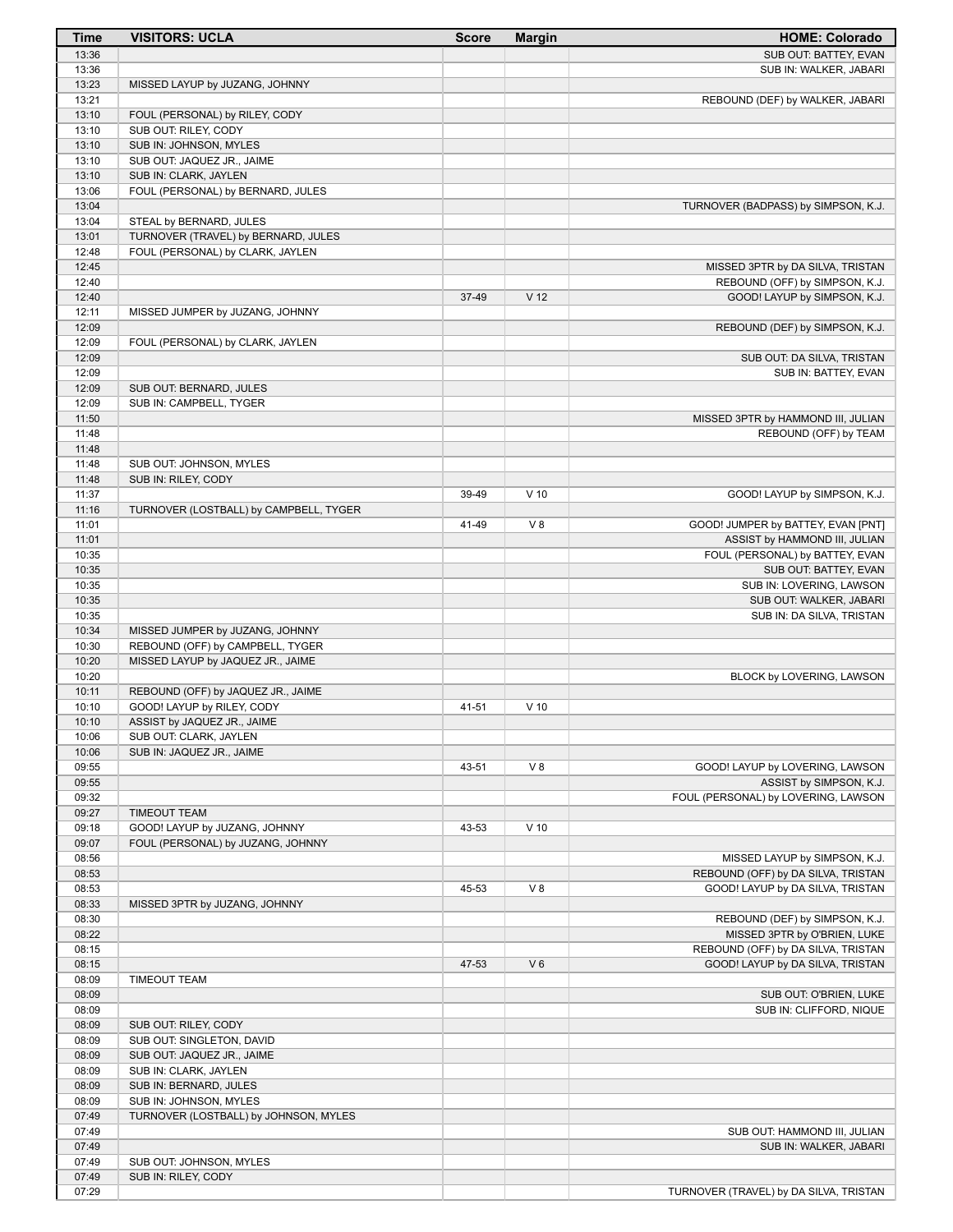| Time           | <b>VISITORS: UCLA</b>                  | <b>Score</b> | <b>Margin</b>   | <b>HOME: Colorado</b>                                          |
|----------------|----------------------------------------|--------------|-----------------|----------------------------------------------------------------|
| 13:36          |                                        |              |                 | SUB OUT: BATTEY, EVAN                                          |
| 13:36          |                                        |              |                 | SUB IN: WALKER, JABARI                                         |
| 13:23          | MISSED LAYUP by JUZANG, JOHNNY         |              |                 |                                                                |
| 13:21          |                                        |              |                 | REBOUND (DEF) by WALKER, JABARI                                |
| 13:10          | FOUL (PERSONAL) by RILEY, CODY         |              |                 |                                                                |
| 13:10          | SUB OUT: RILEY, CODY                   |              |                 |                                                                |
| 13:10          | SUB IN: JOHNSON, MYLES                 |              |                 |                                                                |
| 13:10          | SUB OUT: JAQUEZ JR., JAIME             |              |                 |                                                                |
| 13:10          | SUB IN: CLARK, JAYLEN                  |              |                 |                                                                |
| 13:06          | FOUL (PERSONAL) by BERNARD, JULES      |              |                 |                                                                |
| 13:04          |                                        |              |                 | TURNOVER (BADPASS) by SIMPSON, K.J.                            |
| 13:04          | STEAL by BERNARD, JULES                |              |                 |                                                                |
| 13:01<br>12:48 | TURNOVER (TRAVEL) by BERNARD, JULES    |              |                 |                                                                |
| 12:45          | FOUL (PERSONAL) by CLARK, JAYLEN       |              |                 | MISSED 3PTR by DA SILVA, TRISTAN                               |
| 12:40          |                                        |              |                 | REBOUND (OFF) by SIMPSON, K.J.                                 |
| 12:40          |                                        | 37-49        | V <sub>12</sub> | GOOD! LAYUP by SIMPSON, K.J.                                   |
| 12:11          | MISSED JUMPER by JUZANG, JOHNNY        |              |                 |                                                                |
| 12:09          |                                        |              |                 | REBOUND (DEF) by SIMPSON, K.J.                                 |
| 12:09          | FOUL (PERSONAL) by CLARK, JAYLEN       |              |                 |                                                                |
| 12:09          |                                        |              |                 | SUB OUT: DA SILVA, TRISTAN                                     |
| 12:09          |                                        |              |                 | SUB IN: BATTEY, EVAN                                           |
| 12:09          | SUB OUT: BERNARD, JULES                |              |                 |                                                                |
| 12:09          | SUB IN: CAMPBELL, TYGER                |              |                 |                                                                |
| 11:50          |                                        |              |                 | MISSED 3PTR by HAMMOND III, JULIAN                             |
| 11:48          |                                        |              |                 | REBOUND (OFF) by TEAM                                          |
| 11:48          |                                        |              |                 |                                                                |
| 11:48          | SUB OUT: JOHNSON, MYLES                |              |                 |                                                                |
| 11:48          | SUB IN: RILEY, CODY                    |              |                 |                                                                |
| 11:37          |                                        | 39-49        | $V$ 10          | GOOD! LAYUP by SIMPSON, K.J.                                   |
| 11:16          | TURNOVER (LOSTBALL) by CAMPBELL, TYGER |              |                 |                                                                |
| 11:01          |                                        | 41-49        | V8              | GOOD! JUMPER by BATTEY, EVAN [PNT]                             |
| 11:01          |                                        |              |                 | ASSIST by HAMMOND III, JULIAN                                  |
| 10:35          |                                        |              |                 | FOUL (PERSONAL) by BATTEY, EVAN                                |
| 10:35          |                                        |              |                 | SUB OUT: BATTEY, EVAN                                          |
| 10:35          |                                        |              |                 | SUB IN: LOVERING, LAWSON                                       |
| 10:35          |                                        |              |                 | SUB OUT: WALKER, JABARI                                        |
| 10:35          |                                        |              |                 | SUB IN: DA SILVA, TRISTAN                                      |
| 10:34          | MISSED JUMPER by JUZANG, JOHNNY        |              |                 |                                                                |
| 10:30          | REBOUND (OFF) by CAMPBELL, TYGER       |              |                 |                                                                |
| 10:20          | MISSED LAYUP by JAQUEZ JR., JAIME      |              |                 |                                                                |
| 10:20          |                                        |              |                 | BLOCK by LOVERING, LAWSON                                      |
| 10:11          | REBOUND (OFF) by JAQUEZ JR., JAIME     |              |                 |                                                                |
| 10:10          | GOOD! LAYUP by RILEY, CODY             | 41-51        | $V$ 10          |                                                                |
| 10:10          | ASSIST by JAQUEZ JR., JAIME            |              |                 |                                                                |
| 10:06          | SUB OUT: CLARK, JAYLEN                 |              |                 |                                                                |
| 10:06          | SUB IN: JAQUEZ JR., JAIME              |              |                 |                                                                |
| 09:55          |                                        | 43-51        | V8              | GOOD! LAYUP by LOVERING, LAWSON                                |
| 09:55<br>09:32 |                                        |              |                 | ASSIST by SIMPSON, K.J.<br>FOUL (PERSONAL) by LOVERING, LAWSON |
| 09:27          | <b>TIMEOUT TEAM</b>                    |              |                 |                                                                |
| 09:18          | GOOD! LAYUP by JUZANG, JOHNNY          | 43-53        | $V$ 10          |                                                                |
| 09:07          | FOUL (PERSONAL) by JUZANG, JOHNNY      |              |                 |                                                                |
| 08:56          |                                        |              |                 | MISSED LAYUP by SIMPSON, K.J.                                  |
| 08:53          |                                        |              |                 | REBOUND (OFF) by DA SILVA, TRISTAN                             |
| 08:53          |                                        | 45-53        | V8              | GOOD! LAYUP by DA SILVA, TRISTAN                               |
| 08:33          | MISSED 3PTR by JUZANG, JOHNNY          |              |                 |                                                                |
| 08:30          |                                        |              |                 | REBOUND (DEF) by SIMPSON, K.J.                                 |
| 08:22          |                                        |              |                 | MISSED 3PTR by O'BRIEN, LUKE                                   |
| 08:15          |                                        |              |                 | REBOUND (OFF) by DA SILVA, TRISTAN                             |
| 08:15          |                                        | 47-53        | $V_6$           | GOOD! LAYUP by DA SILVA, TRISTAN                               |
| 08:09          | <b>TIMEOUT TEAM</b>                    |              |                 |                                                                |
| 08:09          |                                        |              |                 | SUB OUT: O'BRIEN, LUKE                                         |
| 08:09          |                                        |              |                 | SUB IN: CLIFFORD, NIQUE                                        |
| 08:09          | SUB OUT: RILEY, CODY                   |              |                 |                                                                |
| 08:09          | SUB OUT: SINGLETON, DAVID              |              |                 |                                                                |
| 08:09          | SUB OUT: JAQUEZ JR., JAIME             |              |                 |                                                                |
| 08:09          | SUB IN: CLARK, JAYLEN                  |              |                 |                                                                |
| 08:09          | SUB IN: BERNARD, JULES                 |              |                 |                                                                |
| 08:09          | SUB IN: JOHNSON, MYLES                 |              |                 |                                                                |
| 07:49          | TURNOVER (LOSTBALL) by JOHNSON, MYLES  |              |                 |                                                                |
| 07:49          |                                        |              |                 | SUB OUT: HAMMOND III, JULIAN                                   |
| 07:49          |                                        |              |                 | SUB IN: WALKER, JABARI                                         |
| 07:49          | SUB OUT: JOHNSON, MYLES                |              |                 |                                                                |
| 07:49          | SUB IN: RILEY, CODY                    |              |                 |                                                                |
| 07:29          |                                        |              |                 | TURNOVER (TRAVEL) by DA SILVA, TRISTAN                         |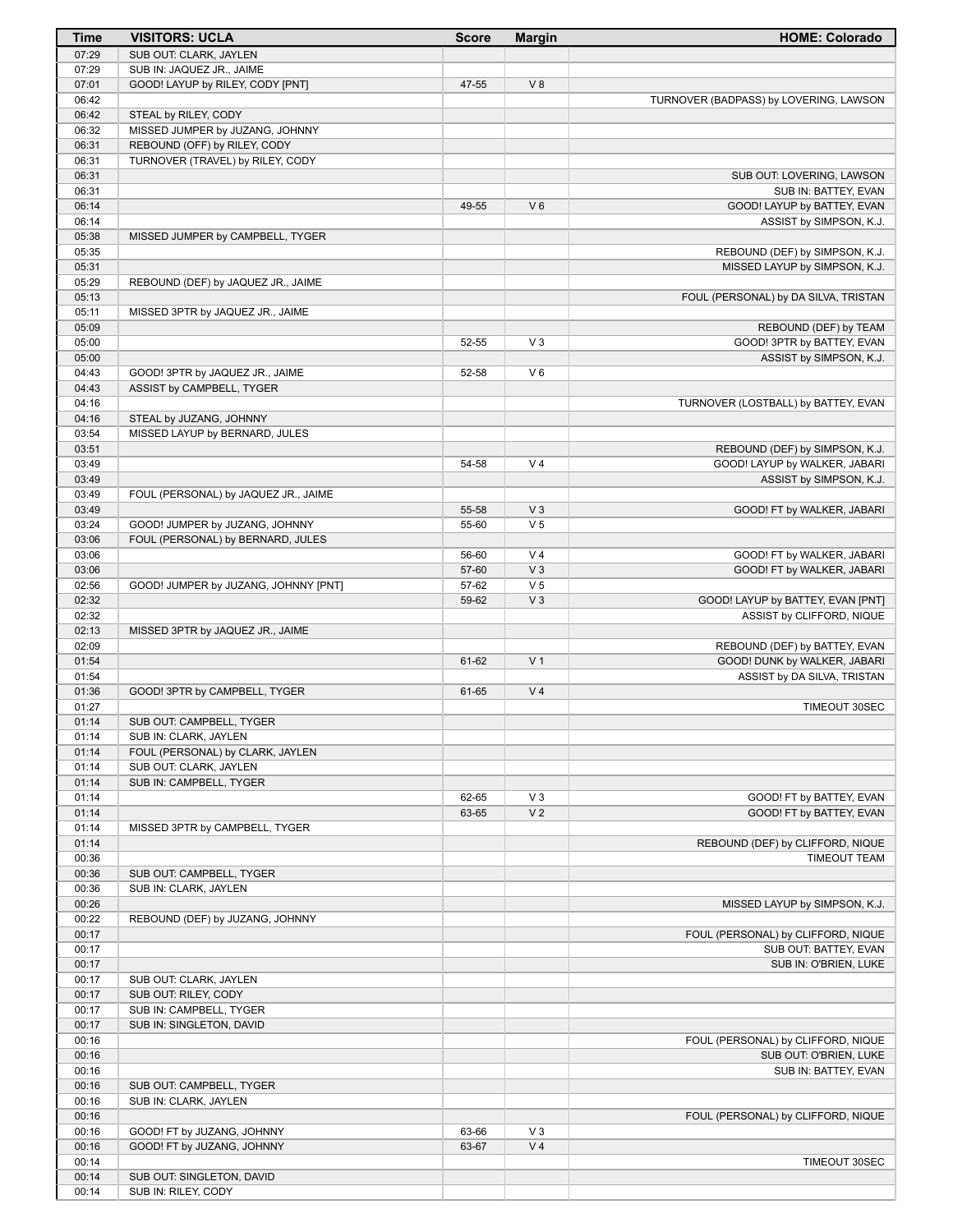| Time           | <b>VISITORS: UCLA</b>                | <b>Score</b>   | <b>Margin</b>           | <b>HOME: Colorado</b>                                 |
|----------------|--------------------------------------|----------------|-------------------------|-------------------------------------------------------|
| 07:29          | SUB OUT: CLARK, JAYLEN               |                |                         |                                                       |
| 07:29          | SUB IN: JAQUEZ JR., JAIME            |                |                         |                                                       |
| 07:01          | GOOD! LAYUP by RILEY, CODY [PNT]     | 47-55          | V8                      |                                                       |
| 06:42<br>06:42 | STEAL by RILEY, CODY                 |                |                         | TURNOVER (BADPASS) by LOVERING, LAWSON                |
| 06:32          | MISSED JUMPER by JUZANG, JOHNNY      |                |                         |                                                       |
| 06:31          | REBOUND (OFF) by RILEY, CODY         |                |                         |                                                       |
| 06:31          | TURNOVER (TRAVEL) by RILEY, CODY     |                |                         |                                                       |
| 06:31          |                                      |                |                         | SUB OUT: LOVERING, LAWSON                             |
| 06:31          |                                      |                |                         | SUB IN: BATTEY, EVAN                                  |
| 06:14          |                                      | 49-55          | $V_6$                   | GOOD! LAYUP by BATTEY, EVAN                           |
| 06:14          |                                      |                |                         | ASSIST by SIMPSON, K.J.                               |
| 05:38<br>05:35 | MISSED JUMPER by CAMPBELL, TYGER     |                |                         | REBOUND (DEF) by SIMPSON, K.J.                        |
| 05:31          |                                      |                |                         | MISSED LAYUP by SIMPSON, K.J.                         |
| 05:29          | REBOUND (DEF) by JAQUEZ JR., JAIME   |                |                         |                                                       |
| 05:13          |                                      |                |                         | FOUL (PERSONAL) by DA SILVA, TRISTAN                  |
| 05:11          | MISSED 3PTR by JAQUEZ JR., JAIME     |                |                         |                                                       |
| 05:09          |                                      |                |                         | REBOUND (DEF) by TEAM                                 |
| 05:00<br>05:00 |                                      | 52-55          | $V_3$                   | GOOD! 3PTR by BATTEY, EVAN<br>ASSIST by SIMPSON, K.J. |
| 04:43          | GOOD! 3PTR by JAQUEZ JR., JAIME      | 52-58          | $V_6$                   |                                                       |
| 04:43          | ASSIST by CAMPBELL, TYGER            |                |                         |                                                       |
| 04:16          |                                      |                |                         | TURNOVER (LOSTBALL) by BATTEY, EVAN                   |
| 04:16          | STEAL by JUZANG, JOHNNY              |                |                         |                                                       |
| 03:54          | MISSED LAYUP by BERNARD, JULES       |                |                         |                                                       |
| 03:51          |                                      |                |                         | REBOUND (DEF) by SIMPSON, K.J.                        |
| 03:49          |                                      | 54-58          | V <sub>4</sub>          | GOOD! LAYUP by WALKER, JABARI                         |
| 03:49<br>03:49 | FOUL (PERSONAL) by JAQUEZ JR., JAIME |                |                         | ASSIST by SIMPSON, K.J.                               |
| 03:49          |                                      | 55-58          | V <sub>3</sub>          | GOOD! FT by WALKER, JABARI                            |
| 03:24          | GOOD! JUMPER by JUZANG, JOHNNY       | 55-60          | V <sub>5</sub>          |                                                       |
| 03:06          | FOUL (PERSONAL) by BERNARD, JULES    |                |                         |                                                       |
| 03:06          |                                      | 56-60          | V <sub>4</sub>          | GOOD! FT by WALKER, JABARI                            |
| 03:06          |                                      | 57-60          | V <sub>3</sub>          | GOOD! FT by WALKER, JABARI                            |
| 02:56<br>02:32 | GOOD! JUMPER by JUZANG, JOHNNY [PNT] | 57-62<br>59-62 | V <sub>5</sub><br>$V_3$ | GOOD! LAYUP by BATTEY, EVAN [PNT]                     |
| 02:32          |                                      |                |                         | ASSIST by CLIFFORD, NIQUE                             |
| 02:13          | MISSED 3PTR by JAQUEZ JR., JAIME     |                |                         |                                                       |
| 02:09          |                                      |                |                         | REBOUND (DEF) by BATTEY, EVAN                         |
| 01:54          |                                      | 61-62          | V <sub>1</sub>          | GOOD! DUNK by WALKER, JABARI                          |
| 01:54          |                                      |                |                         | ASSIST by DA SILVA, TRISTAN                           |
| 01:36<br>01:27 | GOOD! 3PTR by CAMPBELL, TYGER        | 61-65          | V <sub>4</sub>          | TIMEOUT 30SEC                                         |
| 01:14          | SUB OUT: CAMPBELL, TYGER             |                |                         |                                                       |
| 01:14          | SUB IN: CLARK, JAYLEN                |                |                         |                                                       |
| 01:14          | FOUL (PERSONAL) by CLARK, JAYLEN     |                |                         |                                                       |
| 01:14          | SUB OUT: CLARK, JAYLEN               |                |                         |                                                       |
| 01:14          | SUB IN: CAMPBELL, TYGER              |                |                         |                                                       |
| 01:14<br>01:14 |                                      | 62-65<br>63-65 | $V_3$<br>V <sub>2</sub> | GOOD! FT by BATTEY, EVAN<br>GOOD! FT by BATTEY, EVAN  |
| 01:14          | MISSED 3PTR by CAMPBELL, TYGER       |                |                         |                                                       |
| 01:14          |                                      |                |                         | REBOUND (DEF) by CLIFFORD, NIQUE                      |
| 00:36          |                                      |                |                         | <b>TIMEOUT TEAM</b>                                   |
| 00:36          | SUB OUT: CAMPBELL, TYGER             |                |                         |                                                       |
| 00:36          | SUB IN: CLARK, JAYLEN                |                |                         |                                                       |
| 00:26<br>00:22 | REBOUND (DEF) by JUZANG, JOHNNY      |                |                         | MISSED LAYUP by SIMPSON, K.J.                         |
| 00:17          |                                      |                |                         | FOUL (PERSONAL) by CLIFFORD, NIQUE                    |
| 00:17          |                                      |                |                         | SUB OUT: BATTEY, EVAN                                 |
| 00:17          |                                      |                |                         | SUB IN: O'BRIEN, LUKE                                 |
| 00:17          | SUB OUT: CLARK, JAYLEN               |                |                         |                                                       |
| 00:17          | SUB OUT: RILEY, CODY                 |                |                         |                                                       |
| 00:17          | SUB IN: CAMPBELL, TYGER              |                |                         |                                                       |
| 00:17<br>00:16 | SUB IN: SINGLETON, DAVID             |                |                         | FOUL (PERSONAL) by CLIFFORD, NIQUE                    |
| 00:16          |                                      |                |                         | SUB OUT: O'BRIEN, LUKE                                |
| 00:16          |                                      |                |                         | SUB IN: BATTEY, EVAN                                  |
| 00:16          | SUB OUT: CAMPBELL, TYGER             |                |                         |                                                       |
| 00:16          | SUB IN: CLARK, JAYLEN                |                |                         |                                                       |
| 00:16          |                                      |                |                         | FOUL (PERSONAL) by CLIFFORD, NIQUE                    |
| 00:16          | GOOD! FT by JUZANG, JOHNNY           | 63-66          | $V_3$                   |                                                       |
| 00:16<br>00:14 | GOOD! FT by JUZANG, JOHNNY           | 63-67          | V <sub>4</sub>          | TIMEOUT 30SEC                                         |
| 00:14          | SUB OUT: SINGLETON, DAVID            |                |                         |                                                       |
| 00:14          | SUB IN: RILEY, CODY                  |                |                         |                                                       |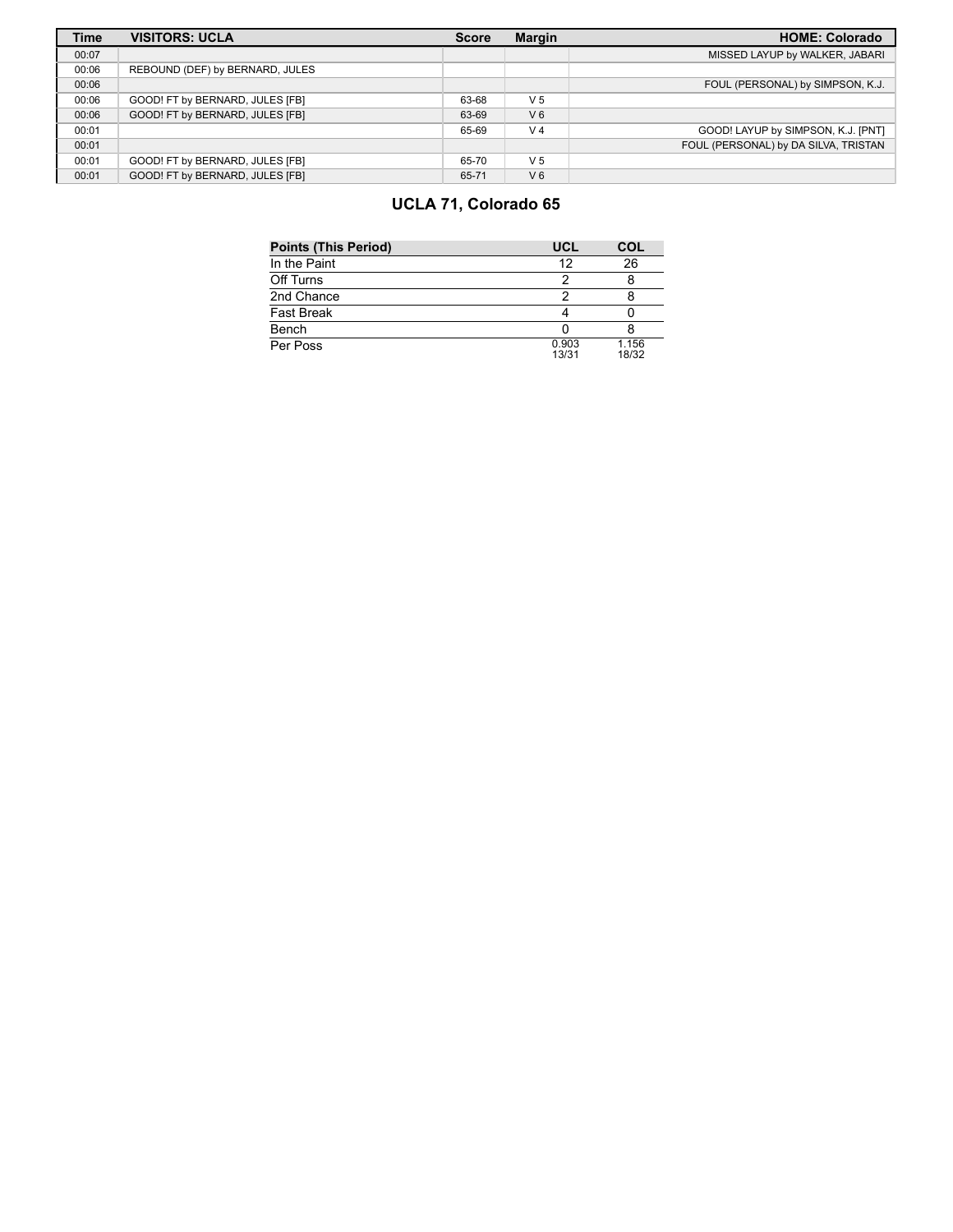| <b>Time</b> | <b>VISITORS: UCLA</b>           | <b>Score</b> | <b>Margin</b>  | <b>HOME: Colorado</b>                |
|-------------|---------------------------------|--------------|----------------|--------------------------------------|
| 00:07       |                                 |              |                | MISSED LAYUP by WALKER, JABARI       |
| 00:06       | REBOUND (DEF) by BERNARD, JULES |              |                |                                      |
| 00:06       |                                 |              |                | FOUL (PERSONAL) by SIMPSON, K.J.     |
| 00:06       | GOOD! FT by BERNARD, JULES [FB] | 63-68        | V <sub>5</sub> |                                      |
| 00:06       | GOOD! FT by BERNARD, JULES [FB] | 63-69        | V <sub>6</sub> |                                      |
| 00:01       |                                 | 65-69        | V <sub>4</sub> | GOOD! LAYUP by SIMPSON, K.J. [PNT]   |
| 00:01       |                                 |              |                | FOUL (PERSONAL) by DA SILVA, TRISTAN |
| 00:01       | GOOD! FT by BERNARD, JULES [FB] | 65-70        | V <sub>5</sub> |                                      |
| 00:01       | GOOD! FT by BERNARD, JULES [FB] | 65-71        | V <sub>6</sub> |                                      |

# **UCLA 71, Colorado 65**

| <b>Points (This Period)</b> | UCL            | COL            |
|-----------------------------|----------------|----------------|
| In the Paint                | 12             | 26             |
| Off Turns                   | ႒              |                |
| 2nd Chance                  | າ              |                |
| <b>Fast Break</b>           |                |                |
| Bench                       |                |                |
| Per Poss                    | 0.903<br>13/31 | 1.156<br>18/32 |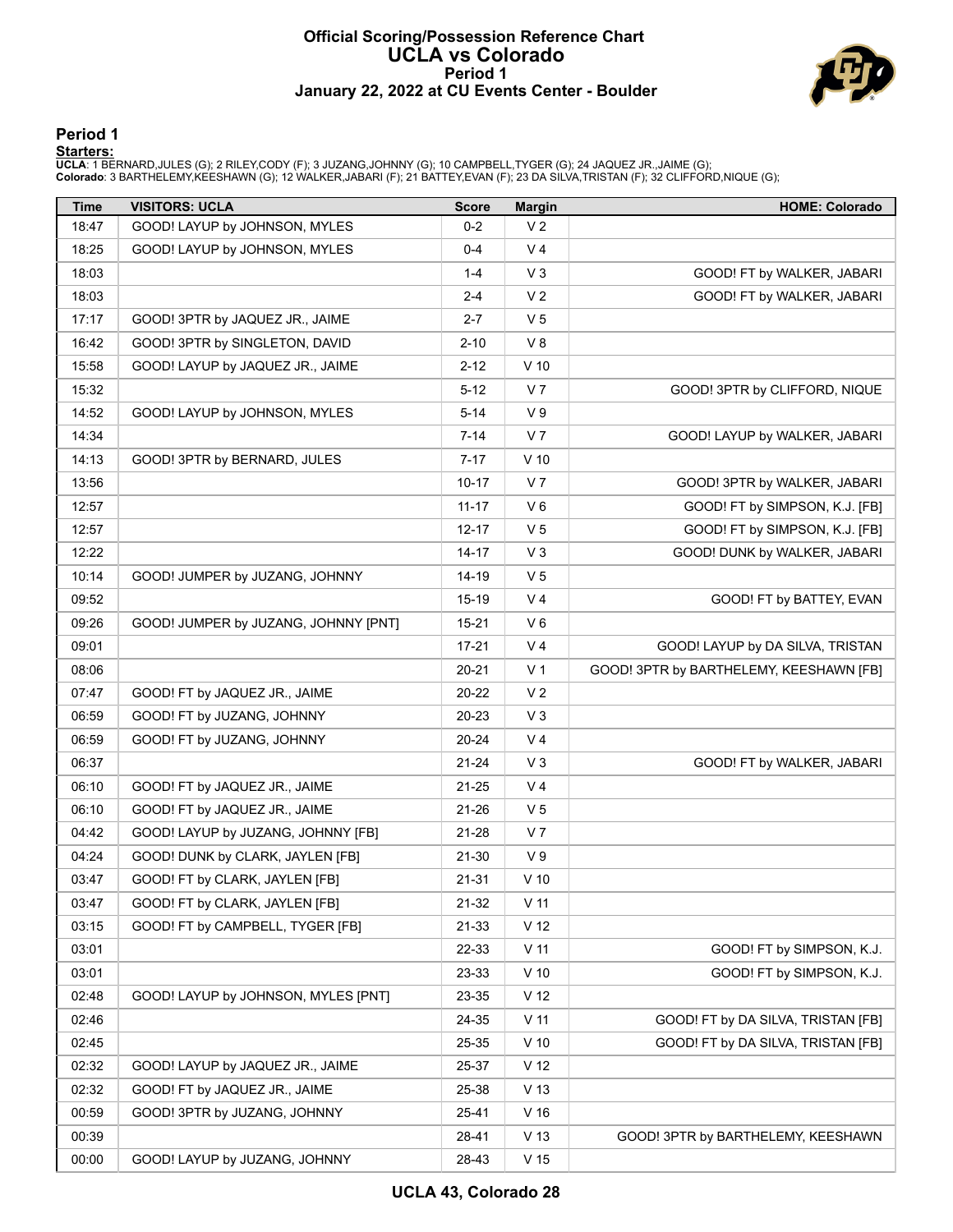### **Official Scoring/Possession Reference Chart UCLA vs Colorado Period 1 January 22, 2022 at CU Events Center - Boulder**



#### **Period 1**

<mark>Starters:</mark><br>UCLA: 1 BERNARD,JULES (G); 2 RILEY,CODY (F); 3 JUZANG,JOHNNY (G); 10 CAMPBELL,TYGER (G); 24 JAQUEZ JR.,JAIME (G);<br>Colorado: 3 BARTHELEMY,KEESHAWN (G); 12 WALKER,JABARI (F); 21 BATTEY,EVAN (F); 23 DA SILVA,TRIST

| <b>Time</b> | <b>VISITORS: UCLA</b>                | <b>Score</b> | <b>Margin</b>   | <b>HOME: Colorado</b>                   |
|-------------|--------------------------------------|--------------|-----------------|-----------------------------------------|
| 18:47       | GOOD! LAYUP by JOHNSON, MYLES        | $0 - 2$      | V <sub>2</sub>  |                                         |
| 18:25       | GOOD! LAYUP by JOHNSON, MYLES        | 0-4          | V 4             |                                         |
| 18:03       |                                      | $1 - 4$      | $V_3$           | GOOD! FT by WALKER, JABARI              |
| 18:03       |                                      | $2 - 4$      | V <sub>2</sub>  | GOOD! FT by WALKER, JABARI              |
| 17:17       | GOOD! 3PTR by JAQUEZ JR., JAIME      | $2 - 7$      | V <sub>5</sub>  |                                         |
| 16:42       | GOOD! 3PTR by SINGLETON, DAVID       | $2 - 10$     | V8              |                                         |
| 15:58       | GOOD! LAYUP by JAQUEZ JR., JAIME     | $2 - 12$     | $V$ 10          |                                         |
| 15:32       |                                      | $5 - 12$     | V 7             | GOOD! 3PTR by CLIFFORD, NIQUE           |
| 14:52       | GOOD! LAYUP by JOHNSON, MYLES        | 5-14         | V <sub>9</sub>  |                                         |
| 14:34       |                                      | $7 - 14$     | V 7             | GOOD! LAYUP by WALKER, JABARI           |
| 14:13       | GOOD! 3PTR by BERNARD, JULES         | $7 - 17$     | $V$ 10          |                                         |
| 13:56       |                                      | 10-17        | V 7             | GOOD! 3PTR by WALKER, JABARI            |
| 12:57       |                                      | $11 - 17$    | $V_6$           | GOOD! FT by SIMPSON, K.J. [FB]          |
| 12:57       |                                      | 12-17        | V <sub>5</sub>  | GOOD! FT by SIMPSON, K.J. [FB]          |
| 12:22       |                                      | 14-17        | V <sub>3</sub>  | GOOD! DUNK by WALKER, JABARI            |
| 10:14       | GOOD! JUMPER by JUZANG, JOHNNY       | 14-19        | V <sub>5</sub>  |                                         |
| 09:52       |                                      | 15-19        | V <sub>4</sub>  | GOOD! FT by BATTEY, EVAN                |
| 09:26       | GOOD! JUMPER by JUZANG, JOHNNY [PNT] | 15-21        | V6              |                                         |
| 09:01       |                                      | $17 - 21$    | V <sub>4</sub>  | GOOD! LAYUP by DA SILVA, TRISTAN        |
| 08:06       |                                      | 20-21        | V 1             | GOOD! 3PTR by BARTHELEMY, KEESHAWN [FB] |
| 07:47       | GOOD! FT by JAQUEZ JR., JAIME        | 20-22        | V <sub>2</sub>  |                                         |
| 06:59       | GOOD! FT by JUZANG, JOHNNY           | 20-23        | $V_3$           |                                         |
| 06:59       | GOOD! FT by JUZANG, JOHNNY           | 20-24        | V <sub>4</sub>  |                                         |
| 06:37       |                                      | 21-24        | $V_3$           | GOOD! FT by WALKER, JABARI              |
| 06:10       | GOOD! FT by JAQUEZ JR., JAIME        | 21-25        | V <sub>4</sub>  |                                         |
| 06:10       | GOOD! FT by JAQUEZ JR., JAIME        | 21-26        | V <sub>5</sub>  |                                         |
| 04:42       | GOOD! LAYUP by JUZANG, JOHNNY [FB]   | 21-28        | V <sub>7</sub>  |                                         |
| 04:24       | GOOD! DUNK by CLARK, JAYLEN [FB]     | $21 - 30$    | V <sub>9</sub>  |                                         |
| 03:47       | GOOD! FT by CLARK, JAYLEN [FB]       | 21-31        | $V$ 10          |                                         |
| 03:47       | GOOD! FT by CLARK, JAYLEN [FB]       | $21 - 32$    | V <sub>11</sub> |                                         |
| 03:15       | GOOD! FT by CAMPBELL, TYGER [FB]     | 21-33        | V <sub>12</sub> |                                         |
| 03:01       |                                      | 22-33        | V <sub>11</sub> | GOOD! FT by SIMPSON, K.J.               |
| 03:01       |                                      | 23-33        | $V$ 10          | GOOD! FT by SIMPSON, K.J.               |
| 02:48       | GOOD! LAYUP by JOHNSON, MYLES [PNT]  | 23-35        | V <sub>12</sub> |                                         |
| 02:46       |                                      | 24-35        | V <sub>11</sub> | GOOD! FT by DA SILVA, TRISTAN [FB]      |
| 02:45       |                                      | 25-35        | $V$ 10          | GOOD! FT by DA SILVA, TRISTAN [FB]      |
| 02:32       | GOOD! LAYUP by JAQUEZ JR., JAIME     | 25-37        | V <sub>12</sub> |                                         |
| 02:32       | GOOD! FT by JAQUEZ JR., JAIME        | 25-38        | V <sub>13</sub> |                                         |
| 00:59       | GOOD! 3PTR by JUZANG, JOHNNY         | 25-41        | V <sub>16</sub> |                                         |
| 00:39       |                                      | 28-41        | V <sub>13</sub> | GOOD! 3PTR by BARTHELEMY, KEESHAWN      |
| 00:00       | GOOD! LAYUP by JUZANG, JOHNNY        | 28-43        | V <sub>15</sub> |                                         |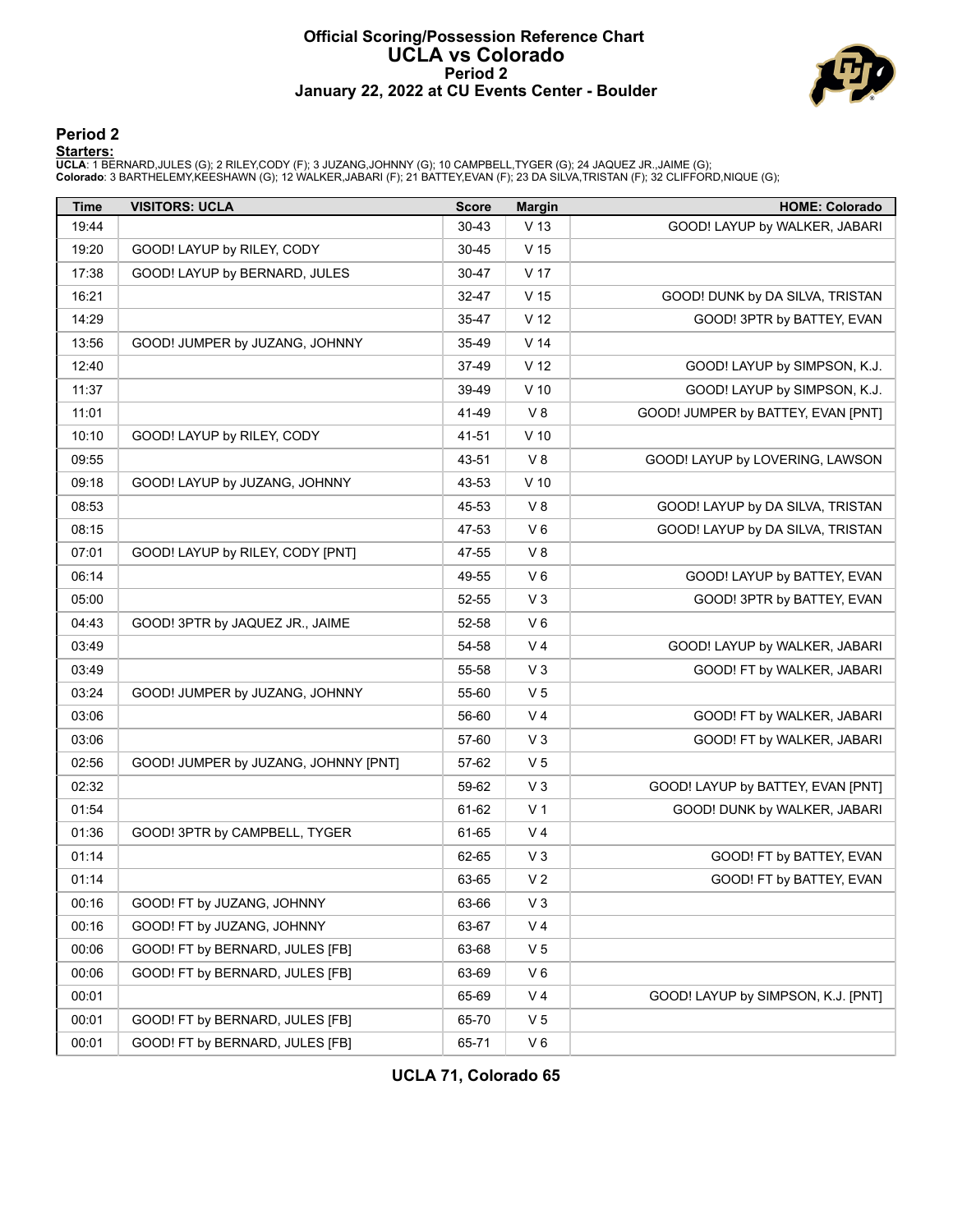#### **Official Scoring/Possession Reference Chart UCLA vs Colorado Period 2 January 22, 2022 at CU Events Center - Boulder**



### **Period 2**

<mark>Starters:</mark><br>UCLA: 1 BERNARD,JULES (G); 2 RILEY,CODY (F); 3 JUZANG,JOHNNY (G); 10 CAMPBELL,TYGER (G); 24 JAQUEZ JR.,JAIME (G);<br>Colorado: 3 BARTHELEMY,KEESHAWN (G); 12 WALKER,JABARI (F); 21 BATTEY,EVAN (F); 23 DA SILVA,TRIST

| <b>Time</b> | <b>VISITORS: UCLA</b>                | <b>Score</b> | <b>Margin</b>   | <b>HOME: Colorado</b>              |
|-------------|--------------------------------------|--------------|-----------------|------------------------------------|
| 19:44       |                                      | $30 - 43$    | V <sub>13</sub> | GOOD! LAYUP by WALKER, JABARI      |
| 19:20       | GOOD! LAYUP by RILEY, CODY           | 30-45        | V 15            |                                    |
| 17:38       | GOOD! LAYUP by BERNARD, JULES        | 30-47        | V <sub>17</sub> |                                    |
| 16:21       |                                      | 32-47        | V <sub>15</sub> | GOOD! DUNK by DA SILVA, TRISTAN    |
| 14:29       |                                      | 35-47        | V <sub>12</sub> | GOOD! 3PTR by BATTEY, EVAN         |
| 13:56       | GOOD! JUMPER by JUZANG, JOHNNY       | 35-49        | V <sub>14</sub> |                                    |
| 12:40       |                                      | 37-49        | V <sub>12</sub> | GOOD! LAYUP by SIMPSON, K.J.       |
| 11:37       |                                      | 39-49        | $V$ 10          | GOOD! LAYUP by SIMPSON, K.J.       |
| 11:01       |                                      | 41-49        | V8              | GOOD! JUMPER by BATTEY, EVAN [PNT] |
| 10:10       | GOOD! LAYUP by RILEY, CODY           | 41-51        | $V$ 10          |                                    |
| 09:55       |                                      | 43-51        | V8              | GOOD! LAYUP by LOVERING, LAWSON    |
| 09:18       | GOOD! LAYUP by JUZANG, JOHNNY        | 43-53        | $V$ 10          |                                    |
| 08:53       |                                      | 45-53        | V8              | GOOD! LAYUP by DA SILVA, TRISTAN   |
| 08:15       |                                      | 47-53        | $V_6$           | GOOD! LAYUP by DA SILVA, TRISTAN   |
| 07:01       | GOOD! LAYUP by RILEY, CODY [PNT]     | 47-55        | V8              |                                    |
| 06:14       |                                      | 49-55        | $V_6$           | GOOD! LAYUP by BATTEY, EVAN        |
| 05:00       |                                      | 52-55        | $V_3$           | GOOD! 3PTR by BATTEY, EVAN         |
| 04:43       | GOOD! 3PTR by JAQUEZ JR., JAIME      | 52-58        | $V_6$           |                                    |
| 03:49       |                                      | 54-58        | V <sub>4</sub>  | GOOD! LAYUP by WALKER, JABARI      |
| 03:49       |                                      | 55-58        | $V_3$           | GOOD! FT by WALKER, JABARI         |
| 03:24       | GOOD! JUMPER by JUZANG, JOHNNY       | 55-60        | V <sub>5</sub>  |                                    |
| 03:06       |                                      | 56-60        | V <sub>4</sub>  | GOOD! FT by WALKER, JABARI         |
| 03:06       |                                      | 57-60        | $V_3$           | GOOD! FT by WALKER, JABARI         |
| 02:56       | GOOD! JUMPER by JUZANG, JOHNNY [PNT] | 57-62        | V <sub>5</sub>  |                                    |
| 02:32       |                                      | 59-62        | $V_3$           | GOOD! LAYUP by BATTEY, EVAN [PNT]  |
| 01:54       |                                      | 61-62        | V <sub>1</sub>  | GOOD! DUNK by WALKER, JABARI       |
| 01:36       | GOOD! 3PTR by CAMPBELL, TYGER        | 61-65        | V <sub>4</sub>  |                                    |
| 01:14       |                                      | 62-65        | $V_3$           | GOOD! FT by BATTEY, EVAN           |
| 01:14       |                                      | 63-65        | V <sub>2</sub>  | GOOD! FT by BATTEY, EVAN           |
| 00:16       | GOOD! FT by JUZANG, JOHNNY           | 63-66        | V <sub>3</sub>  |                                    |
| 00:16       | GOOD! FT by JUZANG, JOHNNY           | 63-67        | V <sub>4</sub>  |                                    |
| 00:06       | GOOD! FT by BERNARD, JULES [FB]      | 63-68        | V <sub>5</sub>  |                                    |
| 00:06       | GOOD! FT by BERNARD, JULES [FB]      | 63-69        | $V_6$           |                                    |
| 00:01       |                                      | 65-69        | V <sub>4</sub>  | GOOD! LAYUP by SIMPSON, K.J. [PNT] |
| 00:01       | GOOD! FT by BERNARD, JULES [FB]      | 65-70        | V <sub>5</sub>  |                                    |
| 00:01       | GOOD! FT by BERNARD, JULES [FB]      | 65-71        | $V_6$           |                                    |

**UCLA 71, Colorado 65**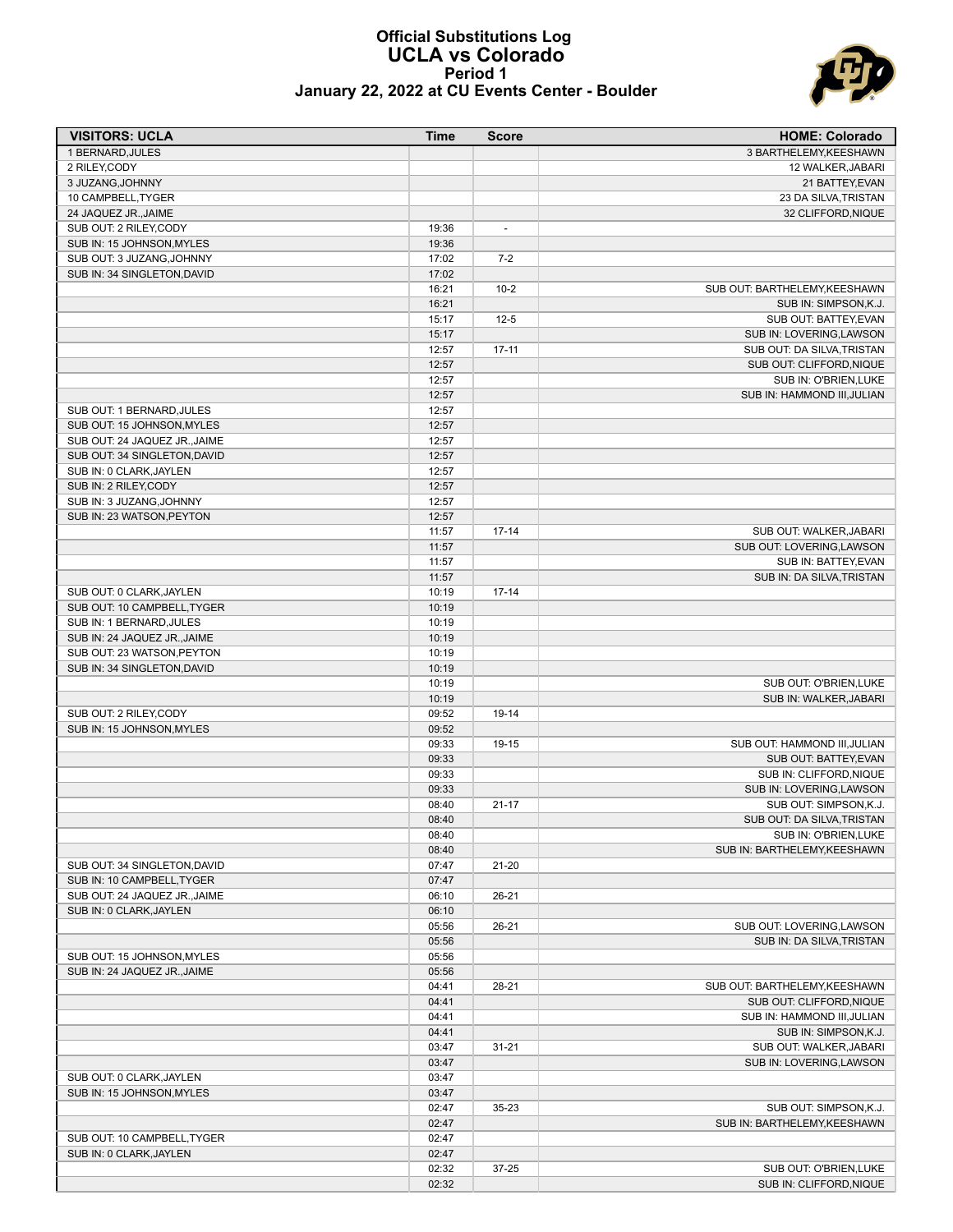#### **Official Substitutions Log UCLA vs Colorado Period 1 January 22, 2022 at CU Events Center - Boulder**



| <b>VISITORS: UCLA</b>                                      | Time           | <b>Score</b>   | <b>HOME: Colorado</b>                                 |
|------------------------------------------------------------|----------------|----------------|-------------------------------------------------------|
| 1 BERNARD, JULES                                           |                |                | 3 BARTHELEMY, KEESHAWN                                |
| 2 RILEY, CODY                                              |                |                | 12 WALKER, JABARI                                     |
| 3 JUZANG, JOHNNY                                           |                |                | 21 BATTEY, EVAN                                       |
| 10 CAMPBELL, TYGER                                         |                |                | 23 DA SILVA, TRISTAN                                  |
| 24 JAQUEZ JR., JAIME                                       |                |                | 32 CLIFFORD, NIQUE                                    |
| SUB OUT: 2 RILEY, CODY                                     | 19:36          | $\overline{a}$ |                                                       |
| SUB IN: 15 JOHNSON, MYLES                                  | 19:36          |                |                                                       |
| SUB OUT: 3 JUZANG, JOHNNY                                  | 17:02          | $7-2$          |                                                       |
| SUB IN: 34 SINGLETON, DAVID                                | 17:02          |                |                                                       |
|                                                            | 16:21          | $10 - 2$       | SUB OUT: BARTHELEMY, KEESHAWN                         |
|                                                            | 16:21          |                | SUB IN: SIMPSON, K.J.                                 |
|                                                            | 15:17          | $12 - 5$       | SUB OUT: BATTEY.EVAN                                  |
|                                                            | 15:17          |                | SUB IN: LOVERING, LAWSON<br>SUB OUT: DA SILVA.TRISTAN |
|                                                            | 12:57          | $17 - 11$      | SUB OUT: CLIFFORD, NIQUE                              |
|                                                            | 12:57<br>12:57 |                | SUB IN: O'BRIEN, LUKE                                 |
|                                                            | 12:57          |                | SUB IN: HAMMOND III, JULIAN                           |
| SUB OUT: 1 BERNARD, JULES                                  | 12:57          |                |                                                       |
| SUB OUT: 15 JOHNSON, MYLES                                 | 12:57          |                |                                                       |
| SUB OUT: 24 JAQUEZ JR., JAIME                              | 12:57          |                |                                                       |
| SUB OUT: 34 SINGLETON, DAVID                               | 12:57          |                |                                                       |
| SUB IN: 0 CLARK, JAYLEN                                    | 12:57          |                |                                                       |
| SUB IN: 2 RILEY, CODY                                      | 12:57          |                |                                                       |
| SUB IN: 3 JUZANG, JOHNNY                                   | 12:57          |                |                                                       |
| SUB IN: 23 WATSON, PEYTON                                  | 12:57          |                |                                                       |
|                                                            | 11:57          | $17 - 14$      | SUB OUT: WALKER, JABARI                               |
|                                                            | 11:57          |                | SUB OUT: LOVERING, LAWSON                             |
|                                                            | 11:57          |                | SUB IN: BATTEY, EVAN                                  |
|                                                            | 11:57          |                | SUB IN: DA SILVA, TRISTAN                             |
| SUB OUT: 0 CLARK, JAYLEN                                   | 10:19          | $17 - 14$      |                                                       |
| SUB OUT: 10 CAMPBELL, TYGER                                | 10:19          |                |                                                       |
| SUB IN: 1 BERNARD, JULES                                   | 10:19          |                |                                                       |
| SUB IN: 24 JAQUEZ JR., JAIME                               | 10:19          |                |                                                       |
| SUB OUT: 23 WATSON, PEYTON                                 | 10:19          |                |                                                       |
| SUB IN: 34 SINGLETON, DAVID                                | 10:19          |                |                                                       |
|                                                            | 10:19          |                | SUB OUT: O'BRIEN, LUKE                                |
|                                                            | 10:19          |                | SUB IN: WALKER, JABARI                                |
| SUB OUT: 2 RILEY, CODY                                     | 09:52          | 19-14          |                                                       |
| SUB IN: 15 JOHNSON, MYLES                                  | 09:52          |                |                                                       |
|                                                            | 09:33          | 19-15          | SUB OUT: HAMMOND III, JULIAN                          |
|                                                            | 09:33          |                | SUB OUT: BATTEY, EVAN                                 |
|                                                            | 09:33          |                | SUB IN: CLIFFORD, NIQUE                               |
|                                                            | 09:33          |                | SUB IN: LOVERING, LAWSON                              |
|                                                            | 08:40          | $21 - 17$      | SUB OUT: SIMPSON, K.J.                                |
|                                                            | 08:40          |                | SUB OUT: DA SILVA, TRISTAN                            |
|                                                            | 08:40          |                | SUB IN: O'BRIEN, LUKE<br>SUB IN: BARTHELEMY.KEESHAWN  |
|                                                            | 08:40<br>07:47 | $21 - 20$      |                                                       |
| SUB OUT: 34 SINGLETON, DAVID<br>SUB IN: 10 CAMPBELL, TYGER | 07:47          |                |                                                       |
| SUB OUT: 24 JAQUEZ JR., JAIME                              | 06:10          | $26 - 21$      |                                                       |
| SUB IN: 0 CLARK, JAYLEN                                    | 06:10          |                |                                                       |
|                                                            | 05:56          | $26 - 21$      | SUB OUT: LOVERING, LAWSON                             |
|                                                            | 05:56          |                | SUB IN: DA SILVA, TRISTAN                             |
| SUB OUT: 15 JOHNSON, MYLES                                 | 05:56          |                |                                                       |
| SUB IN: 24 JAQUEZ JR., JAIME                               | 05:56          |                |                                                       |
|                                                            | 04:41          | 28-21          | SUB OUT: BARTHELEMY, KEESHAWN                         |
|                                                            | 04:41          |                | SUB OUT: CLIFFORD, NIQUE                              |
|                                                            | 04:41          |                | SUB IN: HAMMOND III, JULIAN                           |
|                                                            | 04:41          |                | SUB IN: SIMPSON, K.J.                                 |
|                                                            | 03:47          | $31 - 21$      | SUB OUT: WALKER, JABARI                               |
|                                                            | 03:47          |                | SUB IN: LOVERING, LAWSON                              |
| SUB OUT: 0 CLARK, JAYLEN                                   | 03:47          |                |                                                       |
| SUB IN: 15 JOHNSON, MYLES                                  | 03:47          |                |                                                       |
|                                                            | 02:47          | 35-23          | SUB OUT: SIMPSON, K.J.                                |
|                                                            | 02:47          |                | SUB IN: BARTHELEMY, KEESHAWN                          |
| SUB OUT: 10 CAMPBELL, TYGER                                | 02:47          |                |                                                       |
| SUB IN: 0 CLARK, JAYLEN                                    | 02:47          |                |                                                       |
|                                                            | 02:32          | 37-25          | SUB OUT: O'BRIEN, LUKE                                |
|                                                            | 02:32          |                | SUB IN: CLIFFORD, NIQUE                               |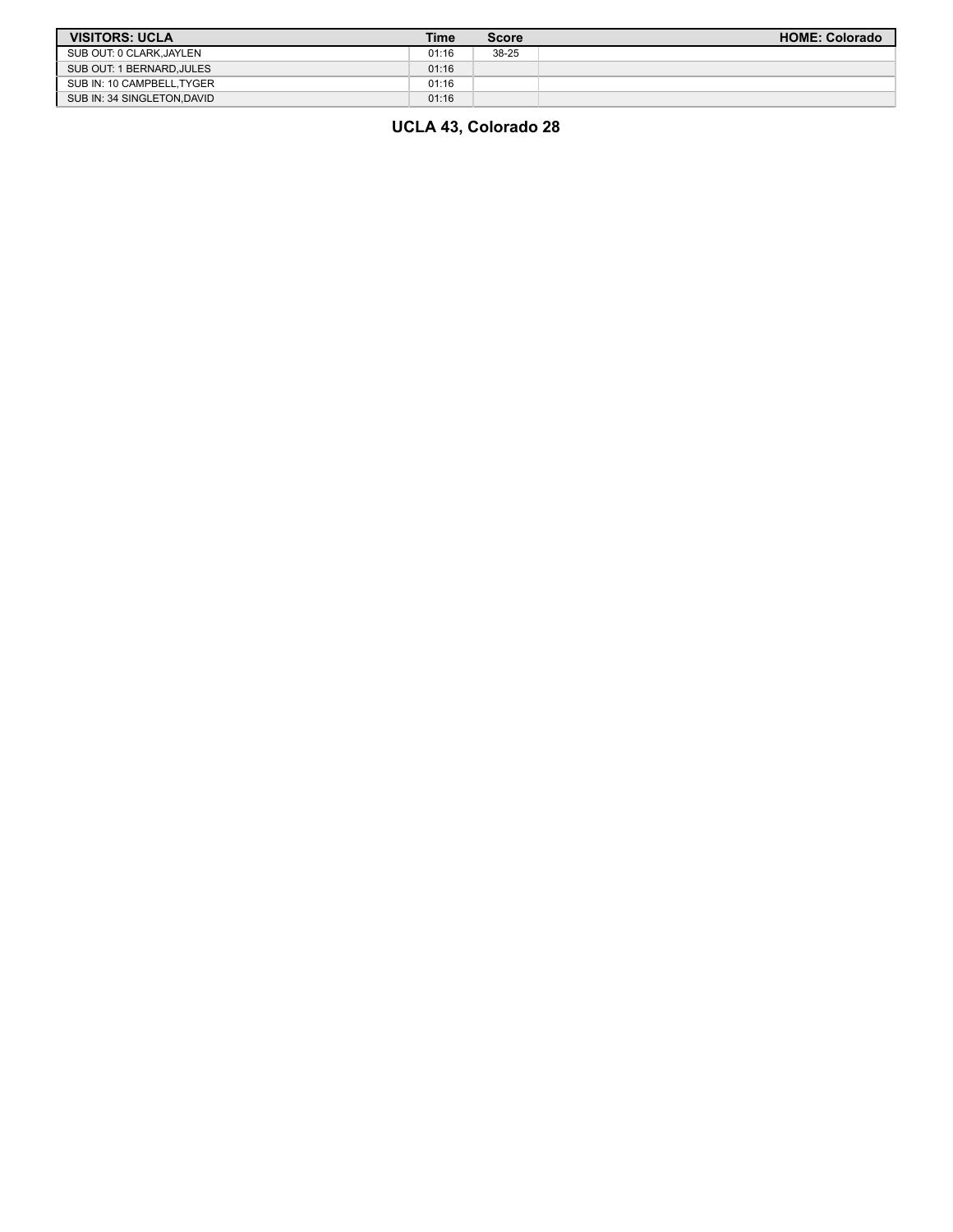| <b>VISITORS: UCLA</b>      | Time  | Score | <b>HOME: Colorado</b> |
|----------------------------|-------|-------|-----------------------|
| SUB OUT: 0 CLARK, JAYLEN   | 01:16 | 38-25 |                       |
| SUB OUT: 1 BERNARD.JULES   | 01:16 |       |                       |
| SUB IN: 10 CAMPBELL.TYGER  | 01:16 |       |                       |
| SUB IN: 34 SINGLETON.DAVID | 01:16 |       |                       |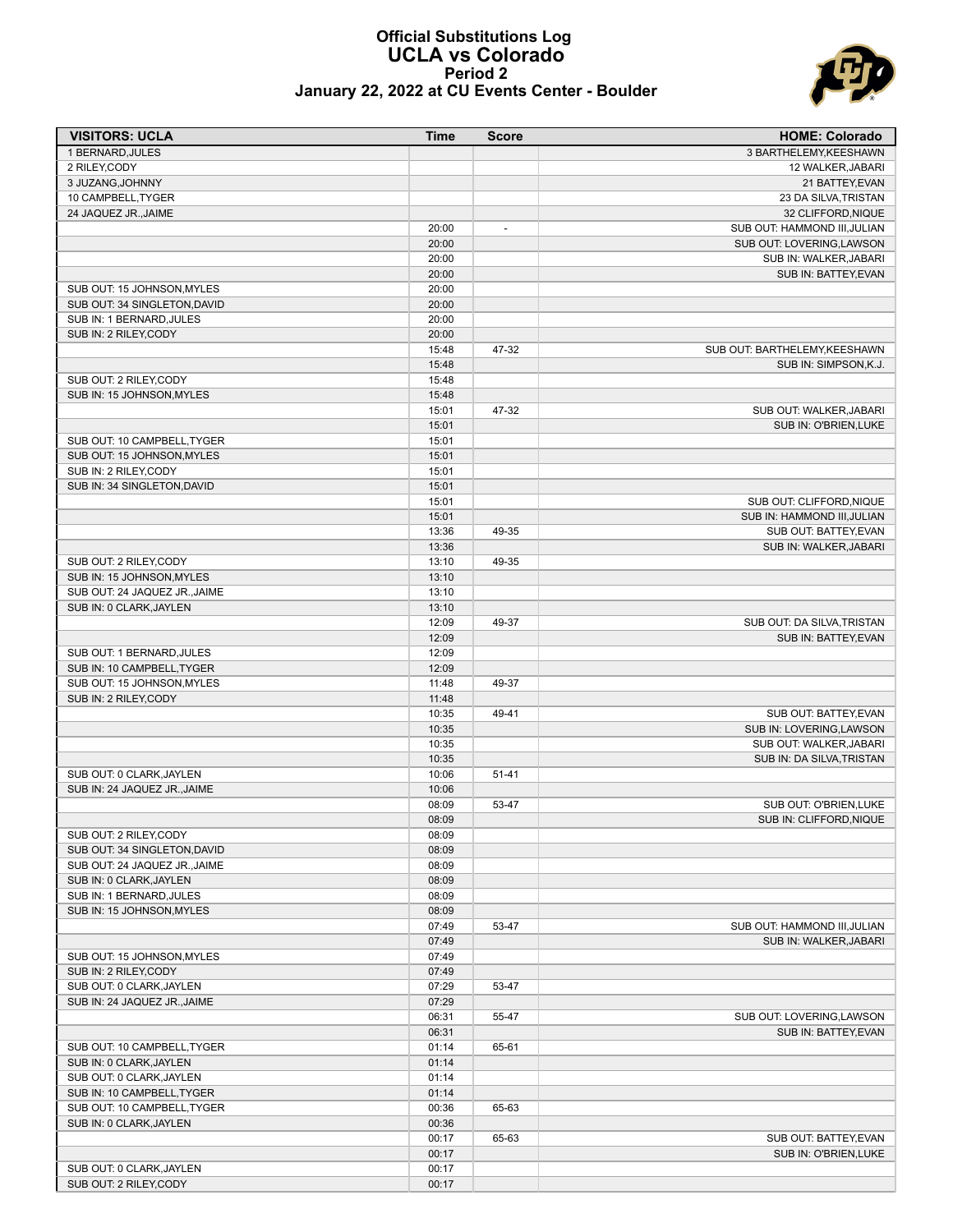#### **Official Substitutions Log UCLA vs Colorado Period 2 January 22, 2022 at CU Events Center - Boulder**



| <b>VISITORS: UCLA</b>         | <b>Time</b> | <b>Score</b>             | <b>HOME: Colorado</b>         |
|-------------------------------|-------------|--------------------------|-------------------------------|
| 1 BERNARD, JULES              |             |                          | 3 BARTHELEMY, KEESHAWN        |
| 2 RILEY, CODY                 |             |                          | 12 WALKER, JABARI             |
| 3 JUZANG, JOHNNY              |             |                          | 21 BATTEY, EVAN               |
| 10 CAMPBELL, TYGER            |             |                          | 23 DA SILVA, TRISTAN          |
| 24 JAQUEZ JR., JAIME          |             |                          | 32 CLIFFORD, NIQUE            |
|                               | 20:00       | $\overline{\phantom{a}}$ | SUB OUT: HAMMOND III, JULIAN  |
|                               | 20:00       |                          | SUB OUT: LOVERING, LAWSON     |
|                               | 20:00       |                          | SUB IN: WALKER, JABARI        |
|                               | 20:00       |                          | SUB IN: BATTEY, EVAN          |
| SUB OUT: 15 JOHNSON, MYLES    | 20:00       |                          |                               |
| SUB OUT: 34 SINGLETON, DAVID  | 20:00       |                          |                               |
| SUB IN: 1 BERNARD, JULES      | 20:00       |                          |                               |
| SUB IN: 2 RILEY, CODY         | 20:00       |                          |                               |
|                               | 15:48       | 47-32                    | SUB OUT: BARTHELEMY, KEESHAWN |
|                               | 15:48       |                          | SUB IN: SIMPSON, K.J.         |
| SUB OUT: 2 RILEY, CODY        | 15:48       |                          |                               |
| SUB IN: 15 JOHNSON, MYLES     | 15:48       |                          |                               |
|                               | 15:01       | 47-32                    | SUB OUT: WALKER, JABARI       |
|                               | 15:01       |                          | SUB IN: O'BRIEN, LUKE         |
| SUB OUT: 10 CAMPBELL, TYGER   | 15:01       |                          |                               |
| SUB OUT: 15 JOHNSON.MYLES     | 15:01       |                          |                               |
| SUB IN: 2 RILEY, CODY         | 15:01       |                          |                               |
| SUB IN: 34 SINGLETON, DAVID   | 15:01       |                          |                               |
|                               | 15:01       |                          | SUB OUT: CLIFFORD, NIQUE      |
|                               | 15:01       |                          | SUB IN: HAMMOND III, JULIAN   |
|                               | 13:36       | 49-35                    | SUB OUT: BATTEY, EVAN         |
|                               | 13:36       |                          | SUB IN: WALKER, JABARI        |
| SUB OUT: 2 RILEY, CODY        | 13:10       | 49-35                    |                               |
| SUB IN: 15 JOHNSON, MYLES     | 13:10       |                          |                               |
| SUB OUT: 24 JAQUEZ JR., JAIME | 13:10       |                          |                               |
| SUB IN: 0 CLARK, JAYLEN       | 13:10       |                          |                               |
|                               | 12:09       | 49-37                    | SUB OUT: DA SILVA, TRISTAN    |
|                               | 12:09       |                          | SUB IN: BATTEY, EVAN          |
| SUB OUT: 1 BERNARD, JULES     | 12:09       |                          |                               |
| SUB IN: 10 CAMPBELL, TYGER    | 12:09       |                          |                               |
| SUB OUT: 15 JOHNSON, MYLES    | 11:48       | 49-37                    |                               |
| SUB IN: 2 RILEY, CODY         | 11:48       |                          |                               |
|                               | 10:35       | 49-41                    | SUB OUT: BATTEY, EVAN         |
|                               | 10:35       |                          | SUB IN: LOVERING, LAWSON      |
|                               | 10:35       |                          | SUB OUT: WALKER, JABARI       |
|                               | 10:35       |                          | SUB IN: DA SILVA, TRISTAN     |
| SUB OUT: 0 CLARK, JAYLEN      | 10:06       | $51 - 41$                |                               |
| SUB IN: 24 JAQUEZ JR., JAIME  | 10:06       |                          |                               |
|                               | 08:09       | 53-47                    | SUB OUT: O'BRIEN, LUKE        |
|                               | 08:09       |                          | SUB IN: CLIFFORD, NIQUE       |
| SUB OUT: 2 RILEY, CODY        | 08:09       |                          |                               |
| SUB OUT: 34 SINGLETON, DAVID  | 08:09       |                          |                               |
| SUB OUT: 24 JAQUEZ JR., JAIME | 08:09       |                          |                               |
| SUB IN: 0 CLARK, JAYLEN       | 08:09       |                          |                               |
| SUB IN: 1 BERNARD, JULES      | 08:09       |                          |                               |
| SUB IN: 15 JOHNSON, MYLES     | 08:09       |                          |                               |
|                               | 07:49       | 53-47                    | SUB OUT: HAMMOND III, JULIAN  |
|                               | 07:49       |                          | SUB IN: WALKER, JABARI        |
| SUB OUT: 15 JOHNSON, MYLES    | 07:49       |                          |                               |
| SUB IN: 2 RILEY, CODY         | 07:49       |                          |                               |
| SUB OUT: 0 CLARK, JAYLEN      | 07:29       | 53-47                    |                               |
| SUB IN: 24 JAQUEZ JR., JAIME  | 07:29       |                          |                               |
|                               | 06:31       | 55-47                    | SUB OUT: LOVERING, LAWSON     |
|                               | 06:31       |                          | SUB IN: BATTEY, EVAN          |
| SUB OUT: 10 CAMPBELL, TYGER   | 01:14       | 65-61                    |                               |
| SUB IN: 0 CLARK, JAYLEN       | 01:14       |                          |                               |
| SUB OUT: 0 CLARK, JAYLEN      | 01:14       |                          |                               |
| SUB IN: 10 CAMPBELL, TYGER    | 01:14       |                          |                               |
| SUB OUT: 10 CAMPBELL, TYGER   | 00:36       | 65-63                    |                               |
| SUB IN: 0 CLARK, JAYLEN       | 00:36       |                          |                               |
|                               | 00:17       | 65-63                    | SUB OUT: BATTEY, EVAN         |
|                               | 00:17       |                          | SUB IN: O'BRIEN, LUKE         |
| SUB OUT: 0 CLARK, JAYLEN      | 00:17       |                          |                               |
| SUB OUT: 2 RILEY, CODY        | 00:17       |                          |                               |